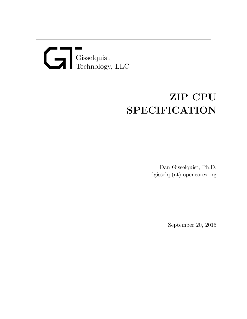# Gisselquist Technology, LLC

# ZIP CPU SPECIFICATION

Dan Gisselquist, Ph.D. dgisselq (at) opencores.org

September 20, 2015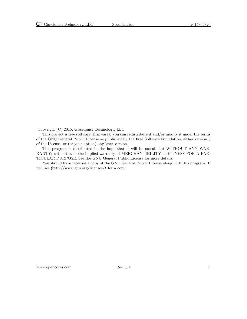Copyright (C) 2015, Gisselquist Technology, LLC

This project is free software (firmware): you can redistribute it and/or modify it under the terms of the GNU General Public License as published by the Free Software Foundation, either version 3 of the License, or (at your option) any later version.

This program is distributed in the hope that it will be useful, but WITHOUT ANY WAR-RANTY; without even the implied warranty of MERCHANTIBILITY or FITNESS FOR A PAR-TICULAR PURPOSE. See the GNU General Public License for more details.

You should have received a copy of the GNU General Public License along with this program. If not, see  $\frac{\text{http://www.gnu.org/} \cdot \text{circes}}{\text{...}}$  for a copy.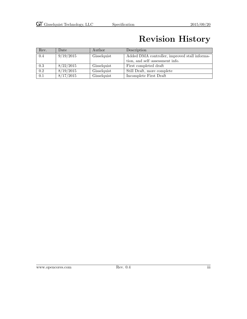### Revision History

| Rev. | Date      | Author      | Description                                   |
|------|-----------|-------------|-----------------------------------------------|
| 0.4  | 9/19/2015 | Gisselquist | Added DMA controller, improved stall informa- |
|      |           |             | tion, and self-assessment info.               |
| 0.3  | 8/22/2015 | Gisselquist | First completed draft                         |
| 0.2  | 8/19/2015 | Gisselquist | Still Draft, more complete                    |
| 0.1  | 8/17/2015 | Gisselquist | Incomplete First Draft                        |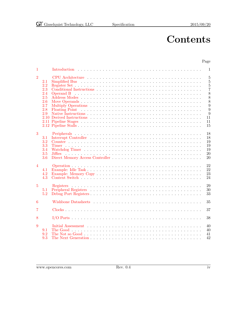Page

### **Contents**

#### [1 Introduction](#page-7-0) . . . . . . . . . . . . . . . . . . . . . . . . . . . . . . . . . . . . . . . . 1 [2 CPU Architecture](#page-11-0) . . . . . . . . . . . . . . . . . . . . . . . . . . . . . . . . . . . . . 5 [2.1 Simplified Bus](#page-11-1) . . . . . . . . . . . . . . . . . . . . . . . . . . . . . . . . . . . . . . . 5 [2.2 Register Set](#page-11-2) . . . . . . . . . . . . . . . . . . . . . . . . . . . . . . . . . . . . . . . . . 5 [2.3 Conditional Instructions](#page-13-0) . . . . . . . . . . . . . . . . . . . . . . . . . . . . . . . . . . 7 [2.4 Operand B](#page-14-0) . . . . . . . . . . . . . . . . . . . . . . . . . . . . . . . . . . . . . . . . . 8 [2.5 Address Modes](#page-14-1) . . . . . . . . . . . . . . . . . . . . . . . . . . . . . . . . . . . . . . . 8 [2.6 Move Operands](#page-14-2) . . . . . . . . . . . . . . . . . . . . . . . . . . . . . . . . . . . . . . . 8 [2.7 Multiply Operations](#page-15-0) . . . . . . . . . . . . . . . . . . . . . . . . . . . . . . . . . . . . 9 [2.8 Floating Point](#page-15-1) . . . . . . . . . . . . . . . . . . . . . . . . . . . . . . . . . . . . . . . 9 [2.9 Native Instructions](#page-15-2) . . . . . . . . . . . . . . . . . . . . . . . . . . . . . . . . . . . . . 9 [2.10 Derived Instructions](#page-17-0) . . . . . . . . . . . . . . . . . . . . . . . . . . . . . . . . . . . . 11 [2.11 Pipeline Stages](#page-17-1) . . . . . . . . . . . . . . . . . . . . . . . . . . . . . . . . . . . . . . . 11 [2.12 Pipeline Stalls](#page-21-0) . . . . . . . . . . . . . . . . . . . . . . . . . . . . . . . . . . . . . . . . 15 [3 Peripherals](#page-24-0) . . . . . . . . . . . . . . . . . . . . . . . . . . . . . . . . . . . . . . . . . 18 [3.1 Interrupt Controller](#page-24-1) . . . . . . . . . . . . . . . . . . . . . . . . . . . . . . . . . . . . 18 [3.2 Counter](#page-25-0) . . . . . . . . . . . . . . . . . . . . . . . . . . . . . . . . . . . . . . . . . . . 19 [3.3 Timer](#page-25-1) . . . . . . . . . . . . . . . . . . . . . . . . . . . . . . . . . . . . . . . . . . . . 19 [3.4 Watchdog Timer](#page-25-2) . . . . . . . . . . . . . . . . . . . . . . . . . . . . . . . . . . . . . . 19 [3.5 Jiffies](#page-26-0) . . . . . . . . . . . . . . . . . . . . . . . . . . . . . . . . . . . . . . . . . . . . 20 [3.6 Direct Memory Access Controller](#page-26-1) . . . . . . . . . . . . . . . . . . . . . . . . . . . . . 20 [4 Operation](#page-28-0) . . . . . . . . . . . . . . . . . . . . . . . . . . . . . . . . . . . . . . . . . . 22 [4.1 Example: Idle Task](#page-28-1) . . . . . . . . . . . . . . . . . . . . . . . . . . . . . . . . . . . . . 22 [4.2 Example: Memory Copy](#page-29-0) . . . . . . . . . . . . . . . . . . . . . . . . . . . . . . . . . . 23 [4.3 Context Switch](#page-30-0) . . . . . . . . . . . . . . . . . . . . . . . . . . . . . . . . . . . . . . . 24 [5 Registers](#page-35-0) . . . . . . . . . . . . . . . . . . . . . . . . . . . . . . . . . . . . . . . . . . 29 [5.1 Peripheral Registers](#page-36-0) . . . . . . . . . . . . . . . . . . . . . . . . . . . . . . . . . . . . 30 [5.2 Debug Port Registers](#page-39-0) . . . . . . . . . . . . . . . . . . . . . . . . . . . . . . . . . . . . 33 [6 Wishbone Datasheets](#page-41-0) . . . . . . . . . . . . . . . . . . . . . . . . . . . . . . . . . . . 35 [7 Clocks](#page-43-0) . . . . . . . . . . . . . . . . . . . . . . . . . . . . . . . . . . . . . . . . . . . . 37 [8 I/O Ports](#page-44-0) . . . . . . . . . . . . . . . . . . . . . . . . . . . . . . . . . . . . . . . . . . 38 [9 Initial Assessment](#page-46-0) . . . . . . . . . . . . . . . . . . . . . . . . . . . . . . . . . . . . . 40 [9.1 The Good](#page-46-1) . . . . . . . . . . . . . . . . . . . . . . . . . . . . . . . . . . . . . . . . . . 40 [9.2 The Not so Good](#page-47-0) . . . . . . . . . . . . . . . . . . . . . . . . . . . . . . . . . . . . . . 41 [9.3 The Next Generation](#page-48-0) . . . . . . . . . . . . . . . . . . . . . . . . . . . . . . . . . . . . 42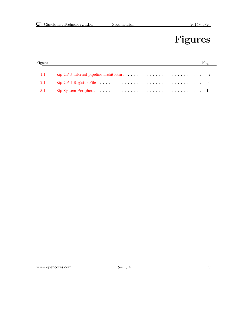# Figures

| Figure |                                                                                                                                                                                                                                | Page |
|--------|--------------------------------------------------------------------------------------------------------------------------------------------------------------------------------------------------------------------------------|------|
|        |                                                                                                                                                                                                                                |      |
| 1.1    | Zip CPU internal pipeline architecture $\ldots \ldots \ldots \ldots \ldots \ldots \ldots$ 2                                                                                                                                    |      |
| 2.1    | Zip CPU Register File response to the contract of the contract of the contract of the contract of the contract of the contract of the contract of the contract of the contract of the contract of the contract of the contract |      |
| 3.1    |                                                                                                                                                                                                                                |      |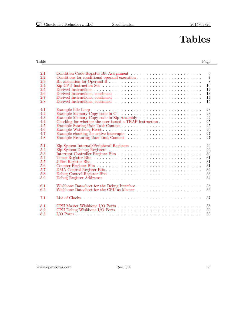# Tables

#### Table Page **Page 2018**

| 2.1<br>2.2<br>2.3<br>2.4<br>2.5<br>2.6<br>2.7<br>2.8        | 6<br>$\overline{7}$<br>Conditions for conditional operand execution $\ldots \ldots \ldots \ldots \ldots \ldots \ldots$<br>8<br>10<br>12<br>13<br>14<br>15 |
|-------------------------------------------------------------|-----------------------------------------------------------------------------------------------------------------------------------------------------------|
| 4.1<br>4.2<br>4.3<br>4.4<br>4.5<br>4.6<br>4.7<br>4.8        | 23<br>23<br>24<br>25<br>Checking for whether the user issued a TRAP instruction<br>25<br>26<br>27<br>27                                                   |
| 5.1<br>5.2<br>5.3<br>5.4<br>5.5<br>5.6<br>5.7<br>5.8<br>5.9 | 29<br>29<br>30<br>31<br>31<br>31<br>32<br>33<br>34                                                                                                        |
| 6.1<br>6.2                                                  | Wishbone Datasheet for the Debug Interface $\dots\dots\dots\dots\dots\dots\dots\dots\dots\dots$<br>35<br>Wishbone Datasheet for the CPU as Master<br>36   |
| 7.1<br>8.1<br>8.2<br>8.3                                    | 37<br>38<br>39<br>39                                                                                                                                      |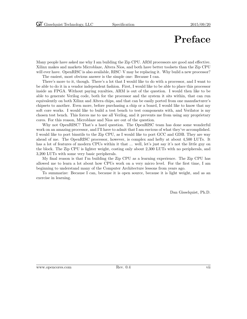### Preface

Many people have asked me why I am building the Zip CPU. ARM processors are good and effective. Xilinx makes and markets Microblaze, Altera Nios, and both have better toolsets than the Zip CPU will ever have. OpenRISC is also available, RISC–V may be replacing it. Why build a new processor?

The easiest, most obvious answer is the simple one: Because I can.

There's more to it, though. There's a lot that I would like to do with a processor, and I want to be able to do it in a vendor independent fashion. First, I would like to be able to place this processor inside an FPGA. Without paying royalties, ARM is out of the question. I would then like to be able to generate Verilog code, both for the processor and the system it sits within, that can run equivalently on both Xilinx and Altera chips, and that can be easily ported from one manufacturer's chipsets to another. Even more, before purchasing a chip or a board, I would like to know that my soft core works. I would like to build a test bench to test components with, and Verilator is my chosen test bench. This forces me to use all Verilog, and it prevents me from using any proprietary cores. For this reason, Microblaze and Nios are out of the question.

Why not OpenRISC? That's a hard question. The OpenRISC team has done some wonderful work on an amazing processor, and I'll have to admit that I am envious of what they've accomplished. I would like to port binutils to the Zip CPU, as I would like to port GCC and GDB. They are way ahead of me. The OpenRISC processor, however, is complex and hefty at about 4,500 LUTs. It has a lot of features of modern CPUs within it that ... well, let's just say it's not the little guy on the block. The Zip CPU is lighter weight, costing only about 2,300 LUTs with no peripherals, and 3,200 LUTs with some very basic peripherals.

My final reason is that I'm building the Zip CPU as a learning experience. The Zip CPU has allowed me to learn a lot about how CPUs work on a very micro level. For the first time, I am beginning to understand many of the Computer Architecture lessons from years ago.

To summarize: Because I can, because it is open source, because it is light weight, and as an exercise in learning.

Dan Gisselquist, Ph.D.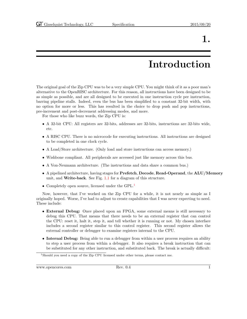### 1.

# Introduction

<span id="page-7-0"></span>The original goal of the Zip CPU was to be a very simple CPU. You might think of it as a poor man's alternative to the OpenRISC architecture. For this reason, all instructions have been designed to be as simple as possible, and are all designed to be executed in one instruction cycle per instruction, barring pipeline stalls. Indeed, even the bus has been simplified to a constant 32-bit width, with no option for more or less. This has resulted in the choice to drop push and pop instructions, pre-increment and post-decrement addressing modes, and more.

For those who like buzz words, the Zip CPU is:

- A 32-bit CPU: All registers are 32-bits, addresses are 32-bits, instructions are 32-bits wide, etc.
- A RISC CPU. There is no microcode for executing instructions. All instructions are designed to be completed in one clock cycle.
- A Load/Store architecture. (Only load and store instructions can access memory.)
- Wishbone compliant. All peripherals are accessed just like memory across this bus.
- A Von-Neumann architecture. (The instructions and data share a common bus.)
- A pipelined architecture, having stages for Prefetch, Decode, Read-Operand, the ALU/Memory unit, and Write-back. See Fig. [1.1](#page-8-0) for a diagram of this structure.
- Completely open source, licensed under the GPL.<sup>[1](#page-7-1)</sup>

Now, however, that I've worked on the Zip CPU for a while, it is not nearly as simple as I originally hoped. Worse, I've had to adjust to create capabilities that I was never expecting to need. These include:

- External Debug: Once placed upon an FPGA, some external means is still necessary to debug this CPU. That means that there needs to be an external register that can control the CPU: reset it, halt it, step it, and tell whether it is running or not. My chosen interface includes a second register similar to this control register. This second register allows the external controller or debugger to examine registers internal to the CPU.
- Internal Debug: Being able to run a debugger from within a user process requires an ability to step a user process from within a debugger. It also requires a break instruction that can be substituted for any other instruction, and substituted back. The break is actually difficult:

<span id="page-7-1"></span><sup>&</sup>lt;sup>1</sup>Should you need a copy of the Zip CPU licensed under other terms, please contact me.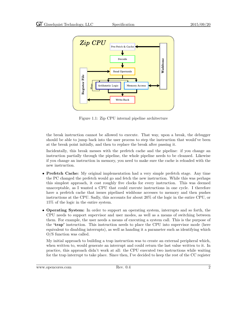

<span id="page-8-0"></span>Figure 1.1: Zip CPU internal pipeline architecture

the break instruction cannot be allowed to execute. That way, upon a break, the debugger should be able to jump back into the user process to step the instruction that would've been at the break point initially, and then to replace the break after passing it.

Incidentally, this break messes with the prefetch cache and the pipeline: if you change an instruction partially through the pipeline, the whole pipeline needs to be cleansed. Likewise if you change an instruction in memory, you need to make sure the cache is reloaded with the new instruction.

- Prefetch Cache: My original implementation had a very simple prefetch stage. Any time the PC changed the prefetch would go and fetch the new instruction. While this was perhaps this simplest approach, it cost roughly five clocks for every instruction. This was deemed unacceptable, as I wanted a CPU that could execute instructions in one cycle. I therefore have a prefetch cache that issues pipelined wishbone accesses to memory and then pushes instructions at the CPU. Sadly, this accounts for about 20% of the logic in the entire CPU, or 15% of the logic in the entire system.
- Operating System: In order to support an operating system, interrupts and so forth, the CPU needs to support supervisor and user modes, as well as a means of switching between them. For example, the user needs a means of executing a system call. This is the purpose of the 'trap' instruction. This instruction needs to place the CPU into supervisor mode (here equivalent to disabling interrupts), as well as handing it a parameter such as identifying which O/S function was called.

My initial approach to building a trap instruction was to create an external peripheral which, when written to, would generate an interrupt and could return the last value written to it. In practice, this approach didn't work at all: the CPU executed two instructions while waiting for the trap interrupt to take place. Since then, I've decided to keep the rest of the CC register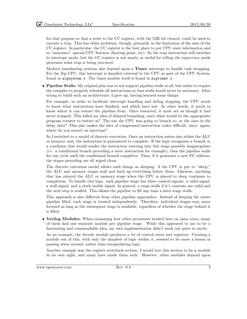for that purpose so that a write to the CC register, with the GIE bit cleared, could be used to execute a trap. This has other problems, though, primarily in the limitation of the uses of the CC register. In particular, the CC register is the best place to put CPU state information and to "announce" special CPU features (floating point, etc). So the trap instruction still switches to interrupt mode, but the CC register is not nearly as useful for telling the supervisor mode processor what trap is being executed.

Modern timesharing systems also depend upon a Timer interrupt to handle task swapping. For the Zip CPU, this interrupt is handled external to the CPU as part of the CPU System, found in zipsystem.v. The timer module itself is found in ziptimer.v.

• Pipeline Stalls: My original plan was to not support pipeline stalls at all, but rather to require the compiler to properly schedule all instructions so that stalls would never be necessary. After trying to build such an architecture, I gave up, having learned some things:

For example, in order to facilitate interrupt handling and debug stepping, the CPU needs to know what instructions have finished, and which have not. In other words, it needs to know where it can restart the pipeline from. Once restarted, it must act as though it had never stopped. This killed my idea of delayed branching, since what would be the appropriate program counter to restart at? The one the CPU was going to branch to, or the ones in the delay slots? This also makes the idea of compressed instruction codes difficult, since, again, where do you restart on interrupt?

So I switched to a model of discrete execution: Once an instruction enters into either the ALU or memory unit, the instruction is guaranteed to complete. If the logic recognizes a branch or a condition that would render the instruction entering into this stage possibly inappropriate (i.e. a conditional branch preceding a store instruction for example), then the pipeline stalls for one cycle until the conditional branch completes. Then, if it generates a new PC address, the stages preceding are all wiped clean.

The discrete execution model allows such things as sleeping: if the CPU is put to "sleep," the ALU and memory stages stall and back up everything before them. Likewise, anything that has entered the ALU or memory stage when the CPU is placed to sleep continues to completion. To handle this logic, each pipeline stage has three control signals: a valid signal, a stall signal, and a clock enable signal. In general, a stage stalls if it's contents are valid and the next step is stalled. This allows the pipeline to fill any time a later stage stalls.

This approach is also different from other pipeline approaches. Instead of keeping the entire pipeline filled, each stage is treated independently. Therefore, individual stages may move forward as long as the subsequent stage is available, regardless of whether the stage behind it is filled.

• Verilog Modules: When examining how other processors worked here on open cores, many of them had one separate module per pipeline stage. While this appeared to me to be a fascinating and commendable idea, my own implementation didn't work out quite so nicely.

As an example, the decode module produces a lot of control wires and registers. Creating a module out of this, with only the simplest of logic within it, seemed to be more a lesson in passing wires around, rather than encapsulating logic.

Another example was the register writeback section. I would love this section to be a module in its own right, and many have made them such. However, other modules depend upon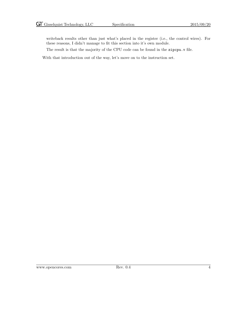writeback results other than just what's placed in the register (i.e., the control wires). For these reasons, I didn't manage to fit this section into it's own module.

The result is that the majority of the CPU code can be found in the zipcpu.v file.

With that introduction out of the way, let's move on to the instruction set.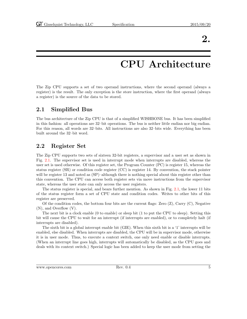### 2.

### CPU Architecture

<span id="page-11-0"></span>The Zip CPU supports a set of two operand instructions, where the second operand (always a register) is the result. The only exception is the store instruction, where the first operand (always a register) is the source of the data to be stored.

#### <span id="page-11-1"></span>2.1 Simplified Bus

The bus architecture of the Zip CPU is that of a simplified WISHBONE bus. It has been simplified in this fashion: all operations are 32–bit operations. The bus is neither little endian nor big endian. For this reason, all words are 32–bits. All instructions are also 32–bits wide. Everything has been built around the 32–bit word.

#### <span id="page-11-2"></span>2.2 Register Set

The Zip CPU supports two sets of sixteen 32-bit registers, a supervisor and a user set as shown in Fig. [2.1.](#page-12-0) The supervisor set is used in interrupt mode when interrupts are disabled, whereas the user set is used otherwise. Of this register set, the Program Counter (PC) is register 15, whereas the status register (SR) or condition code register (CC) is register 14. By convention, the stack pointer will be register 13 and noted as  $(SP)$ –although there is nothing special about this register other than this convention. The CPU can access both register sets via move instructions from the supervisor state, whereas the user state can only access the user registers.

The status register is special, and bears further mention. As shown in Fig. [2.1,](#page-12-1) the lower 11 bits of the status register form a set of CPU state and condition codes. Writes to other bits of this register are preserved.

Of the condition codes, the bottom four bits are the current flags: Zero  $(Z)$ , Carry  $(C)$ , Negative (N), and Overflow (V).

The next bit is a clock enable (0 to enable) or sleep bit (1 to put the CPU to sleep). Setting this bit will cause the CPU to wait for an interrupt (if interrupts are enabled), or to completely halt (if interrupts are disabled).

The sixth bit is a global interrupt enable bit (GIE). When this sixth bit is a '1' interrupts will be enabled, else disabled. When interrupts are disabled, the CPU will be in supervisor mode, otherwise it is in user mode. Thus, to execute a context switch, one only need enable or disable interrupts. (When an interrupt line goes high, interrupts will automatically be disabled, as the CPU goes and deals with its context switch.) Special logic has been added to keep the user mode from setting the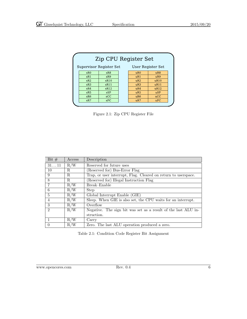| Zip CPU Register Set                         |            |  |                 |                 |  |
|----------------------------------------------|------------|--|-----------------|-----------------|--|
| Supervisor Register Set<br>User Register Set |            |  |                 |                 |  |
| sR0                                          | sR8        |  | uR0             | uR8             |  |
| sR1                                          | sR9        |  | uR1             | uR9             |  |
| sR2                                          | sR10       |  | uR2             | uR10            |  |
| sR3                                          | sR11       |  | uR3             | uR11            |  |
| sR4                                          | sR12       |  | uR4             | uR12            |  |
| sR5                                          | <b>sSP</b> |  | uR5             | $\mathbf{u}$ SP |  |
| sR6                                          | SCC        |  | uR <sub>6</sub> | ucC             |  |
| sR7                                          | SPC        |  | uR7             | uPC             |  |

<span id="page-12-0"></span>Figure 2.1: Zip CPU Register File

| Bit $#$        | Access | Description                                                    |
|----------------|--------|----------------------------------------------------------------|
| 3111           | R/W    | Reserved for future uses                                       |
| 10             | R.     | Reserved for) Bus-Error Flag                                   |
| 9              | R.     | Trap, or user interrupt, Flag. Cleared on return to userspace. |
| 8              | R.     | Reserved for) Illegal Instruction Flag                         |
| 7              | R/W    | Break-Enable                                                   |
| 6              | R/W    | <b>Step</b>                                                    |
| $\overline{5}$ | R/W    | Global Interrupt Enable (GIE)                                  |
| $\overline{4}$ | R/W    | Sleep. When GIE is also set, the CPU waits for an interrupt.   |
| 3              | R/W    | Overflow                                                       |
| $\mathfrak{D}$ | R/W    | Negative. The sign bit was set as a result of the last ALU in- |
|                |        | struction.                                                     |
|                | R/W    | Carry                                                          |
| $\theta$       | R/W    | Zero. The last ALU operation produced a zero.                  |

<span id="page-12-1"></span>Table 2.1: Condition Code Register Bit Assignment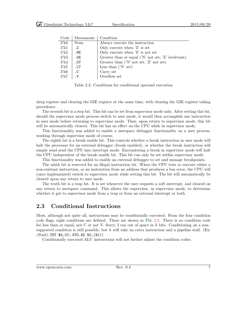| Code             | Mneumonic | Condition                                                            |
|------------------|-----------|----------------------------------------------------------------------|
| 3 <sup>h</sup> 0 | None      | Always execute the instruction                                       |
| $3'$ h1          | . Z       | Only execute when 'Z' is set                                         |
| 3 <sup>h2</sup>  | .NE       | Only execute when 'Z' is not set                                     |
| 3 <sup>h3</sup>  | .GE       | Greater than or equal $(N' \text{ not set}, 'Z' \text{ irrelevant})$ |
| $3'$ h4          | .GT       | Greater than $('N' not set, 'Z' not set)$                            |
| 3 <sup>h5</sup>  | .LT       | Less than $(N \setminus \text{set})$                                 |
| $3'$ h6          | $\cdot$ C | Carry set                                                            |
| $3'$ h7          | $\cdot$ V | Overflow set                                                         |

<span id="page-13-1"></span>Table 2.2: Conditions for conditional operand execution

sleep register and clearing the GIE register at the same time, with clearing the GIE register taking precedence.

The seventh bit is a step bit. This bit can be set from supervisor mode only. After setting this bit, should the supervisor mode process switch to user mode, it would then accomplish one instruction in user mode before returning to supervisor mode. Then, upon return to supervisor mode, this bit will be automatically cleared. This bit has no effect on the CPU while in supervisor mode.

This functionality was added to enable a userspace debugger functionality on a user process, working through supervisor mode of course.

The eighth bit is a break enable bit. This controls whether a break instruction in user mode will halt the processor for an external debugger (break enabled), or whether the break instruction will simply send send the CPU into interrupt mode. Encountering a break in supervisor mode will halt the CPU independent of the break enable bit. This bit can only be set within supervisor mode.

This functionality was added to enable an external debugger to set and manage breakpoints.

The ninth bit is reserved for an illegal instruction bit. When the CPU tries to execute either a non-existant instruction, or an instruction from an address that produces a bus error, the CPU will (once implemented) switch to supervisor mode while setting this bit. The bit will automatically be cleared upon any return to user mode.

The tenth bit is a trap bit. It is set whenever the user requests a soft interrupt, and cleared on any return to userspace command. This allows the supervisor, in supervisor mode, to determine whether it got to supervisor mode from a trap or from an external interrupt or both.

#### <span id="page-13-0"></span>2.3 Conditional Instructions

Most, although not quite all, instructions may be conditionally executed. From the four condition code flags, eight conditions are defined. These are shown in Tbl. [2.2.](#page-13-1) There is no condition code for less than or equal, not C or not V. Sorry, I ran out of space in 3–bits. Conditioning on a non– supported condition is still possible, but it will take an extra instruction and a pipeline stall. (Ex:  $(Stall)$ ; TST \$4, CC; STO.NZ RO,  $(R1)$ )

Conditionally executed ALU instructions will not further adjust the condition codes.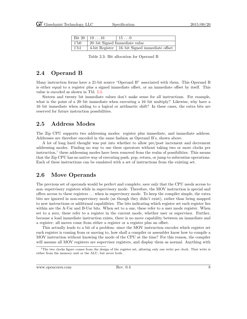|                  | Bit 20   19 $\dots$ 16        | 150                                                |
|------------------|-------------------------------|----------------------------------------------------|
| $1^{\prime}b0$   | 20-bit Signed Immediate value |                                                    |
| 1 <sup>h</sup> 1 |                               | 4-bit Register   $16$ -bit Signed immediate offset |

<span id="page-14-3"></span>Table 2.3: Bit allocation for Operand B

#### <span id="page-14-0"></span>2.4 Operand B

Many instruction forms have a 21-bit source "Operand B" associated with them. This Operand B is either equal to a register plus a signed immediate offset, or an immediate offset by itself. This value is encoded as shown in Tbl. [2.3.](#page-14-3)

Sixteen and twenty bit immediate values don't make sense for all instructions. For example, what is the point of a 20–bit immediate when executing a 16–bit multiply? Likewise, why have a 16–bit immediate when adding to a logical or arithmetic shift? In these cases, the extra bits are reserved for future instruction possibilities.

#### <span id="page-14-1"></span>2.5 Address Modes

The Zip CPU supports two addressing modes: register plus immediate, and immediate address. Addresses are therefore encoded in the same fashion as Operand B's, shown above.

A lot of long hard thought was put into whether to allow pre/post increment and decrement addressing modes. Finding no way to use these operators without taking two or more clocks per instruction,<sup>[1](#page-14-4)</sup> these addressing modes have been removed from the realm of possibilities. This means that the Zip CPU has no native way of executing push, pop, return, or jump to subroutine operations. Each of these instructions can be emulated with a set of instructions from the existing set.

#### <span id="page-14-2"></span>2.6 Move Operands

The previous set of operands would be perfect and complete, save only that the CPU needs access to non–supervisory registers while in supervisory mode. Therefore, the MOV instruction is special and offers access to these registers . . . when in supervisory mode. To keep the compiler simple, the extra bits are ignored in non-supervisory mode (as though they didn't exist), rather than being mapped to new instructions or additional capabilities. The bits indicating which register set each register lies within are the A-Usr and B-Usr bits. When set to a one, these refer to a user mode register. When set to a zero, these refer to a register in the current mode, whether user or supervisor. Further, because a load immediate instruction exists, there is no move capability between an immediate and a register: all moves come from either a register or a register plus an offset.

This actually leads to a bit of a problem: since the MOV instruction encodes which register set each register is coming from or moving to, how shall a compiler or assembler know how to compile a MOV instruction without knowing the mode of the CPU at the time? For this reason, the compiler will assume all MOV registers are supervisor registers, and display them as normal. Anything with

<span id="page-14-4"></span><sup>&</sup>lt;sup>1</sup>The two clocks figure comes from the design of the register set, allowing only one write per clock. That write is either from the memory unit or the ALU, but never both.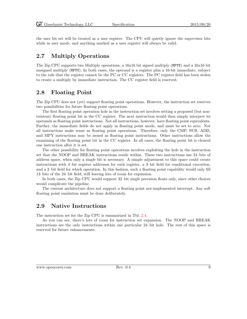the user bit set will be treated as a user register. The CPU will quietly ignore the supervisor bits while in user mode, and anything marked as a user register will always be valid.

### <span id="page-15-0"></span>2.7 Multiply Operations

The Zip CPU supports two Multiply operations, a 16x16 bit signed multiply (MPYS) and a 16x16 bit unsigned multiply (MPYU). In both cases, the operand is a register plus a 16-bit immediate, subject to the rule that the register cannot be the PC or CC registers. The PC register field has been stolen to create a multiply by immediate instruction. The CC register field is reserved.

#### <span id="page-15-1"></span>2.8 Floating Point

The Zip CPU does not (yet) support floating point operations. However, the instruction set reserves two possibilities for future floating point operations.

The first floating point operation hole in the instruction set involves setting a proposed (but nonexistent) floating point bit in the CC register. The next instruction would then simply interpret its operands as floating point instructions. Not all instructions, however, have floating point equivalents. Further, the immediate fields do not apply in floating point mode, and must be set to zero. Not all instructions make sense as floating point operations. Therefore, only the CMP, SUB, ADD, and MPY instructions may be issued as floating point instructions. Other instructions allow the examining of the floating point bit in the CC register. In all cases, the floating point bit is cleared one instruction after it is set.

The other possibility for floating point operations involves exploiting the hole in the instruction set that the NOOP and BREAK instructions reside within. These two instructions use 24–bits of address space, when only a single bit is necessary. A simple adjustment to this space could create instructions with 4–bit register addresses for each register, a 3–bit field for conditional execution, and a 2–bit field for which operation. In this fashion, such a floating point capability would only fill 13–bits of the 24–bit field, still leaving lots of room for expansion.

In both cases, the Zip CPU would support 32–bit single precision floats only, since other choices would complicate the pipeline.

The current architecture does not support a floating point not-implemented interrupt. Any soft floating point emulation must be done deliberately.

#### <span id="page-15-2"></span>2.9 Native Instructions

The instruction set for the Zip CPU is summarized in Tbl. [2.4.](#page-16-0)

As you can see, there's lots of room for instruction set expansion. The NOOP and BREAK instructions are the only instructions within one particular 24–bit hole. The rest of this space is reserved for future enhancements.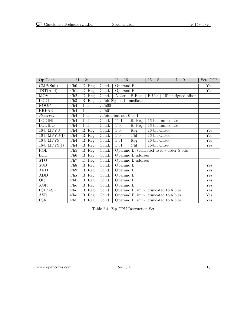| Op Code                 |                 | 3124                 | 2316                |                             | 158                  | $7\ldots 0$   | Sets CC?                                 |     |
|-------------------------|-----------------|----------------------|---------------------|-----------------------------|----------------------|---------------|------------------------------------------|-----|
| CMP(Sub)                | $4'$ h $0$      | D. Reg               | Cond.               | Operand B                   |                      |               | Yes                                      |     |
| TST(And)                | $4'$ h1         | D. Reg               | Cond.               | Operand B                   |                      |               | Yes                                      |     |
| <b>MOV</b>              | 4'h2            | D. Reg               | Cond.               | $A$ -Usr                    | B-Reg                | B-Usr         | 15'bit signed offset                     |     |
| <b>LODI</b>             | 4'h3            | R. Reg               |                     | 24'bit Signed Immediate     |                      |               |                                          |     |
| <b>NOOP</b>             | $4'$ h $4$      | $4'$ he              | $\overline{24'h00}$ |                             |                      |               |                                          |     |
| <b>BREAK</b>            | $4'$ h $4$      | $4'$ he              | $24'$ h $01$        |                             |                      |               |                                          |     |
| Reserved                | 4'h4            | $4'$ he              |                     | $24'$ bits, but not 0 or 1. |                      |               |                                          |     |
| <b>LODIHI</b>           | $4'$ h $4$      | $4'$ hf              | Cond.               | $1$ b <sub>1</sub>          | R. Reg               |               | 16-bit Immediate                         |     |
| <b>LODILO</b>           | 4'h4            | $4'$ hf              | Cond.               | 1 <sup>1</sup> b0           | $\overline{R}$ . Reg |               | 16-bit Immediate                         |     |
| $16-b$ MPYU             | $4'$ h $4$      | R. Reg               | Cond.               | 1 <sup>1</sup> b0           | Reg                  | 16-bit Offset |                                          | Yes |
| $16-b$ MPYU(I)          | 4'h4            | R. Reg               | Cond.               | 1 <sup>1</sup> b0           | $4'$ hf              | 16-bit Offset |                                          | Yes |
| 16-b MPYS               | $4'$ h $4$      | R. Reg               | Cond.               | 1 <sup>1</sup> b1           | Reg                  | 16-bit Offset |                                          | Yes |
| $16-b$ MPYS(I)          | $4'$ h $4$      | $R.$ Reg             | Cond.               | 1 <sup>1</sup> b1           | $4'$ hf              | 16-bit Offset |                                          | Yes |
| $\overline{\text{ROL}}$ | 4'h5            | R. Reg               | Cond.               |                             |                      |               | Operand B, truncated to low order 5 bits |     |
| <b>LOD</b>              | 4'h6            | R. Reg               | Cond.               |                             | Operand B address    |               |                                          |     |
| <b>STO</b>              | 4'h7            | $\overline{D}$ . Reg | Cond.               |                             | Operand B address    |               |                                          |     |
| SUB                     | 4'h8            | R. Reg               | Cond.               | Operand $\overline{B}$      |                      |               |                                          | Yes |
| <b>AND</b>              | 4'h9            | R. Reg               | Cond.               | Operand B                   |                      |               |                                          | Yes |
| <b>ADD</b>              | $4'$ ha         | R. Reg               | Cond.               | Operand B                   |                      |               |                                          | Yes |
| OR                      | $4'$ hb         | $\overline{R}$ . Reg | Cond.               | Operand B                   |                      |               |                                          | Yes |
| <b>XOR</b>              | $4'$ hc         | R. Reg               | Cond.<br>Operand B  |                             | Yes                  |               |                                          |     |
| LSL/ASL                 | 4'hd            | $\overline{R}$ . Reg | Cond.               |                             |                      |               | Operand B, imm. truncated to 6 bits      | Yes |
| ASR                     | $4'$ he         | R. Reg               | Cond.               |                             |                      |               | Operand B, imm. truncated to 6 bits      | Yes |
| LSR                     | $4^{\prime}$ hf | R. Reg               | Cond.               |                             |                      |               | Operand B, imm. truncated to 6 bits      | Yes |

<span id="page-16-0"></span>Table 2.4: Zip CPU Instruction Set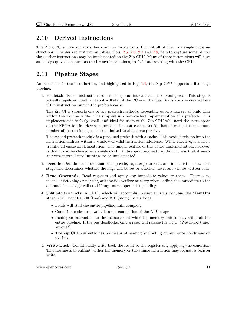#### <span id="page-17-0"></span>2.10 Derived Instructions

The Zip CPU supports many other common instructions, but not all of them are single cycle instructions. The derived instruction tables, Tbls. [2.5,](#page-18-0) [2.6,](#page-19-0) [2.7](#page-20-0) and [2.8,](#page-21-1) help to capture some of how these other instructions may be implemented on the Zip CPU. Many of these instructions will have assembly equivalents, such as the branch instructions, to facilitate working with the CPU.

### <span id="page-17-1"></span>2.11 Pipeline Stages

As mentioned in the introduction, and highlighted in Fig. [1.1,](#page-8-0) the Zip CPU supports a five stage pipeline.

1. Prefetch: Reads instruction from memory and into a cache, if so configured. This stage is actually pipelined itself, and so it will stall if the PC ever changes. Stalls are also created here if the instruction isn't in the prefetch cache.

The Zip CPU supports one of two prefetch methods, depending upon a flag set at build time within the zipcpu. v file. The simplest is a non–cached implementation of a prefetch. This implementation is fairly small, and ideal for users of the Zip CPU who need the extra space on the FPGA fabric. However, because this non–cached version has no cache, the maximum number of instructions per clock is limited to about one per five.

The second prefetch module is a pipelined prefetch with a cache. This module tries to keep the instruction address within a window of valid instruction addresses. While effective, it is not a traditional cache implementation. One unique feature of this cache implementation, however, is that it can be cleared in a single clock. A disappointing feature, though, was that it needs an extra internal pipeline stage to be implemented.

- 2. Decode: Decodes an instruction into op code, register(s) to read, and immediate offset. This stage also determines whether the flags will be set or whether the result will be written back.
- 3. Read Operands: Read registers and apply any immediate values to them. There is no means of detecting or flagging arithmetic overflow or carry when adding the immediate to the operand. This stage will stall if any source operand is pending.
- 4. Split into two tracks: An ALU which will accomplish a simple instruction, and the MemOps stage which handles LOD (load) and STO (store) instructions.
	- Loads will stall the entire pipeline until complete.
	- Condition codes are available upon completion of the ALU stage
	- Issuing an instruction to the memory unit while the memory unit is busy will stall the entire pipeline. If the bus deadlocks, only a reset will release the CPU. (Watchdog timer, anyone?)
	- The Zip CPU currently has no means of reading and acting on any error conditions on the bus.
- 5. Write-Back: Conditionally write back the result to the register set, applying the condition. This routine is bi-entrant: either the memory or the simple instruction may request a register write.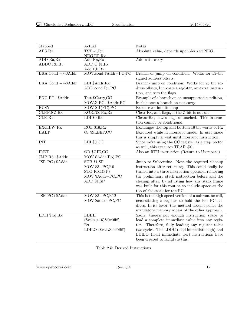| Mapped                   | Actual                                                     | <b>Notes</b>                                                             |
|--------------------------|------------------------------------------------------------|--------------------------------------------------------------------------|
| ABS Rx                   | $TST -1, Rx$                                               | Absolute value, depends upon derived NEG.                                |
|                          | NEG.LT Rx                                                  |                                                                          |
| ADD Ra, Rx               | Add Ra, Rx                                                 | Add with carry                                                           |
| ADDC Rb, Ry              | ADD.C \$1, Ry                                              |                                                                          |
|                          | Add Rb, Ry                                                 |                                                                          |
| $BRA$ .Cond $+/-$ \$Addr | MOV.cond \$Addr+PC,PC                                      | Branch or jump on condition. Works for 15-bit<br>signed address offsets. |
| $BRA$ .Cond $+/-$ \$Addr | LDI \$Addr, Rx                                             | Branch/jump on condition. Works for 23 bit ad-                           |
|                          | ADD.cond Rx,PC                                             | dress offsets, but costs a register, an extra instruc-                   |
|                          |                                                            | tion, and sets the flags.                                                |
| <b>BNC PC+\$Addr</b>     | Test \$Carry, CC                                           | Example of a branch on an unsupported condition,                         |
|                          | MOV.Z PC+\$Addr,PC                                         | in this case a branch on not carry                                       |
| <b>BUSY</b>              | $\overline{\text{MOV } \$\text{-}1}(\text{PC}), \text{PC}$ | Execute an infinite loop                                                 |
| CLRF.NZ Rx               | XOR.NZ Rx, Rx                                              | Clear Rx, and flags, if the Z-bit is not set                             |
| $CLR$ $Rx$               | LDI $$0,Rx$                                                | Clears Rx, leaves flags untouched. This instruc-                         |
|                          |                                                            | tion cannot be conditional.                                              |
| EXCH.W Rx                | ROL \$16,Rx                                                | Exchanges the top and bottom 16'bit words of Rx                          |
| <b>HALT</b>              | Or \$SLEEP,CC                                              | Executed while in interrupt mode. In user mode                           |
|                          |                                                            | this is simply a wait until interrupt instruction.                       |
| <b>INT</b>               | $LDI$ \$0,CC                                               | Since we're using the CC register as a trap vector                       |
|                          |                                                            | as well, this executes TRAP $#0$ .                                       |
| <b>IRET</b>              | OR \$GIE,CC                                                | Also an RTU instruction (Return to Userspace)                            |
| JMP R6+\$Addr            | $MOV$ \$Addr $(R6)$ , PC                                   |                                                                          |
| <b>JSR PC+\$Addr</b>     | $\overline{\text{SUB }\$1,\text{SP}}$                      | Jump to Subroutine. Note the required cleanup                            |
|                          | $MOV$ \$3+ $PC$ , $R$ 0                                    | instruction after returning. This could easily be                        |
|                          | STO R0,1(SP)                                               | turned into a three instruction operand, removing                        |
|                          | MOV \$Addr+PC,PC                                           | the preliminary stack instruction before and the                         |
|                          | ADD \$1,SP                                                 | cleanup after, by adjusting how any stack frame                          |
|                          |                                                            | was built for this routine to include space at the                       |
|                          |                                                            | top of the stack for the PC.                                             |
| JSR PC+\$Addr            | $MOV$ \$3+ $PC, R12$                                       | This is the high speed version of a subroutine call,                     |
|                          | MOV \$addr+PC,PC                                           | necessitating a register to hold the last PC ad-                         |
|                          |                                                            | dress. In its favor, this method doesn't suffer the                      |
|                          |                                                            | mandatory memory access of the other approach.                           |
| LDI.1 $\%$ val, Rx       | <b>LDIHI</b>                                               | Sadly, there's not enough instruction space to                           |
|                          | $(\$val>>16)$ & 0x0 ffff,                                  | load a complete immediate value into any regis-                          |
|                          | Rx                                                         | ter. Therefore, fully loading any register takes                         |
|                          | LDILO (\$val $\&$ 0x0ffff)                                 | two cycles. The LDIHI (load immediate high) and                          |
|                          |                                                            | LDILO (load immediate low) instructions have                             |
|                          |                                                            | been created to facilitate this.                                         |

<span id="page-18-0"></span>Table 2.5: Derived Instructions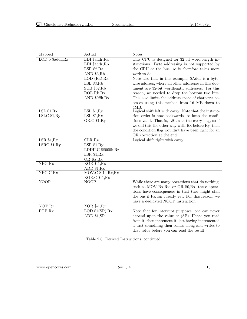| Mapped                   | Actual                                                     | <b>Notes</b>                                          |
|--------------------------|------------------------------------------------------------|-------------------------------------------------------|
| LOD.b \$addr, Rx         | $\overline{\text{LDI} \, \text{S} \text{addr}}, \text{Ra}$ | This CPU is designed for 32'bit word length in-       |
|                          | LDI \$addr,Rb                                              | structions. Byte addressing is not supported by       |
|                          | $LSR$ \$2,Ra                                               | the CPU or the bus, so it therefore takes more        |
|                          | AND \$3,Rb                                                 | work to do.                                           |
|                          | $LOD$ $(Ra)$ , $Rx$                                        | Note also that in this example, \$Addr is a byte-     |
|                          | $LSL$ \$3,Rb                                               | wise address, where all other addresses in this doc-  |
|                          | <b>SUB \$32,Rb</b>                                         | ument are 32-bit wordlength addresses. For this       |
|                          | ROL Rb, Rx                                                 | reason, we needed to drop the bottom two bits.        |
|                          | AND \$0ffh, Rx                                             | This also limits the address space of character ac-   |
|                          |                                                            | cesses using this method from 16 MB down to           |
|                          |                                                            | 4MB.                                                  |
| $LSL$ \$1, $Rx$          | LSL \$1,Ry                                                 | Logical shift left with carry. Note that the instruc- |
| LSLC \$1,Ry              | LSL \$1,Rx                                                 | tion order is now backwards, to keep the condi-       |
|                          | OR.C \$1, Ry                                               | tions valid. That is, LSL sets the carry flag, so if  |
|                          |                                                            | we did this the other way with Rx before Ry, then     |
|                          |                                                            | the condition flag wouldn't have been right for an    |
|                          |                                                            | OR correction at the end.                             |
| LSR \$1,Rx               | CLR <sub>Rz</sub>                                          | Logical shift right with carry                        |
| LSRC \$1,Ry              | LSR \$1,Ry                                                 |                                                       |
|                          | LDIHI.C \$8000h, Rz                                        |                                                       |
|                          | LSR \$1,Rx                                                 |                                                       |
|                          | OR Rz, Rx                                                  |                                                       |
| $NEG$ Rx                 | $XOR$ \$-1, $Rx$                                           |                                                       |
|                          | ADD \$1,Rx                                                 |                                                       |
| NEG.C Rx                 | $MOV.C$ \$-1+ $Rx, Rx$                                     |                                                       |
|                          | $XOR.C$ \$-1, $Rx$                                         |                                                       |
| $\overline{\text{NOOP}}$ | $\overline{NOOP}$                                          | While there are many operations that do nothing,      |
|                          |                                                            | such as MOV Rx, Rx, or OR \$0, Rx, these opera-       |
|                          |                                                            | tions have consequences in that they might stall      |
|                          |                                                            | the bus if Rx isn't ready yet. For this reason, we    |
|                          |                                                            | have a dedicated NOOP instruction.                    |
| <b>NOT Rx</b>            | $XOR$ \$-1, $Rx$                                           |                                                       |
| POP <sub>Rx</sub>        | LOD $$1(SP),Rx$                                            | Note that for interrupt purposes, one can never       |
|                          | ADD \$1,SP                                                 | depend upon the value at (SP). Hence you read         |
|                          |                                                            | from it, then increment it, lest having incremented   |
|                          |                                                            | it first something then comes along and writes to     |
|                          |                                                            | that value before you can read the result.            |

<span id="page-19-0"></span>Table 2.6: Derived Instructions, continued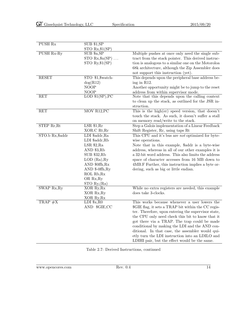| PUSH Rx          | SUB \$1, SP         |                                                          |
|------------------|---------------------|----------------------------------------------------------|
|                  | STO $Rx$ , $$1(SP)$ |                                                          |
| PUSH Rx-Ry       | SUB \$n, SP         | Multiple pushes at once only need the single sub-        |
|                  | STO $Rx$ , $(n(SP)$ | tract from the stack pointer. This derived instruc-      |
|                  | STO $Ry$ , \$1(SP)  | tion is analogous to a similar one on the Motoroloa      |
|                  |                     | 68k architecture, although the Zip Assembler does        |
|                  |                     | not support this instruction (yet).                      |
| <b>RESET</b>     | STO \$1, \$watch-   | This depends upon the peripheral base address be-        |
|                  | $\log(R12)$         | ing in R12.                                              |
|                  | NOOP                | Another opportunity might be to jump to the reset        |
|                  | <b>NOOP</b>         | address from within supervisor mode.                     |
| <b>RET</b>       | LOD $$1(SP),PC$     | Note that this depends upon the calling context          |
|                  |                     | to clean up the stack, as outlined for the JSR in-       |
|                  |                     | struction.                                               |
| RET              | MOV R12, PC         | This is the high(er) speed version, that doesn't         |
|                  |                     | touch the stack. As such, it doesn't suffer a stall      |
|                  |                     | on memory read/write to the stack.                       |
| STEP Rr, Rt      | LSR \$1, Rr         | Step a Galois implementation of a Linear Feedback        |
|                  | XOR.C Rt, Rr        | Shift Register, Rr, using taps Rt                        |
| STO.b Rx, \$addr | LDI \$addr, Ra      | This CPU and it's bus are <i>not</i> optimized for byte- |
|                  | LDI \$addr,Rb       | wise operations.                                         |
|                  | $LSR$ \$2, Ra       | Note that in this example, \$addr is a byte-wise         |
|                  | AND $$3,Rb$         | address, whereas in all of our other examples it is      |
|                  | SUB \$32,Rb         | a 32-bit word address. This also limits the address      |
|                  | $LOD$ $(Ra)$ , $Ry$ | space of character accesses from 16 MB down to           |
|                  | AND \$0ffh, Rx      | 4MB.F Further, this instruction implies a byte or-       |
|                  | $AND $-0ffh, Ry$    | dering, such as big or little endian.                    |
|                  | ROL Rb, Rx          |                                                          |
|                  | OR Rx, Ry           |                                                          |
|                  | STO Ry, (Ra)        |                                                          |
| SWAP $Rx, Ry$    | XOR Ry, Rx          | While no extra registers are needed, this example        |
|                  | XOR Rx, Ry          | does take 3-clocks.                                      |
|                  | XOR Ry, Rx          |                                                          |
| $TRAP$ #X        | LDI $x, R0$         | This works because whenever a user lowers the            |
|                  | AND \$GIE,CC        | \$GIE flag, it sets a TRAP bit within the CC regis-      |
|                  |                     | ter. Therefore, upon entering the supervisor state,      |
|                  |                     | the CPU only need check this bit to know that it         |
|                  |                     | got there via a TRAP. The trap could be made             |
|                  |                     | conditional by making the LDI and the AND con-           |
|                  |                     | ditional. In that case, the assembler would qui-         |
|                  |                     | etly turn the LDI instruction into an LDILO and          |
|                  |                     | LDIHI pair, but the effect would be the same.            |
|                  |                     |                                                          |

<span id="page-20-0"></span>Table 2.7: Derived Instructions, continued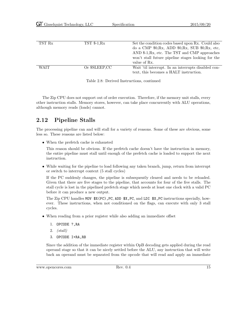| TST Rx      | $TST$ \$-1, $Rx$ | Set the condition codes based upon Rx. Could also   |
|-------------|------------------|-----------------------------------------------------|
|             |                  | do a CMP $$0,Rx$ , ADD $$0,Rx$ , SUB $$0,Rx$ , etc, |
|             |                  | AND \$-1, Rx, etc. The TST and CMP approaches       |
|             |                  | won't stall future pipeline stages looking for the  |
|             |                  | value of Rx.                                        |
| <b>WAIT</b> | Or \$SLEEP.CC    | Wait 'til interrupt. In an interrupts disabled con- |
|             |                  | text, this becomes a HALT instruction.              |

<span id="page-21-1"></span>

|  |  | Table 2.8: Derived Instructions, continued |  |
|--|--|--------------------------------------------|--|
|--|--|--------------------------------------------|--|

The Zip CPU does not support out of order execution. Therefore, if the memory unit stalls, every other instruction stalls. Memory stores, however, can take place concurrently with ALU operations, although memory reads (loads) cannot.

### <span id="page-21-0"></span>2.12 Pipeline Stalls

The processing pipeline can and will stall for a variety of reasons. Some of these are obvious, some less so. These reasons are listed below:

• When the prefetch cache is exhausted

This reason should be obvious. If the prefetch cache doesn't have the instruction in memory, the entire pipeline must stall until enough of the prefetch cache is loaded to support the next instruction.

• While waiting for the pipeline to load following any taken branch, jump, return from interrupt or switch to interrupt context (5 stall cycles)

If the PC suddenly changes, the pipeline is subsequently cleared and needs to be reloaded. Given that there are five stages to the pipeline, that accounts for four of the five stalls. The stall cycle is lost in the pipelined prefetch stage which needs at least one clock with a valid PC before it can produce a new output.

The Zip CPU handles MOV \$X(PC),PC, ADD \$X,PC, and LDI \$X,PC instructions specially, however. These instructions, when not conditioned on the flags, can execute with only 3 stall cycles.

- When reading from a prior register while also adding an immediate offset
	- 1. OPCODE ?,RA
	- 2. (stall)
	- 3. OPCODE I+RA,RB

Since the addition of the immediate register within OpB decoding gets applied during the read operand stage so that it can be nicely settled before the ALU, any instruction that will write back an operand must be separated from the opcode that will read and apply an immediate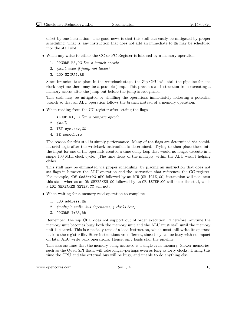offset by one instruction. The good news is that this stall can easily be mitigated by proper scheduling. That is, any instruction that does not add an immediate to RA may be scheduled into the stall slot.

- When any write to either the CC or PC Register is followed by a memory operation
	- 1. OPCODE RA,PC Ex: a branch opcode
	- 2. (stall, even if jump not taken)
	- 3. LOD \$X(RA),RB

Since branches take place in the writeback stage, the Zip CPU will stall the pipeline for one clock anytime there may be a possible jump. This prevents an instruction from executing a memory access after the jump but before the jump is recognized.

This stall may be mitigated by shuffling the operations immediately following a potential branch so that an ALU operation follows the branch instead of a memory operation.

- When reading from the CC register after setting the flags
	- 1. ALUOP RA, RB Ex: a compare opcode
	- 2. (stall)
	- 3. TST sys.ccv,CC
	- 4. BZ somewhere

The reason for this stall is simply performance. Many of the flags are determined via combinatorial logic after the writeback instruction is determined. Trying to then place these into the input for one of the operands created a time delay loop that would no longer execute in a single 100 MHz clock cycle. (The time delay of the multiply within the ALU wasn't helping either  $\dots$ ).

This stall may be eliminated via proper scheduling, by placing an instruction that does not set flags in between the ALU operation and the instruction that references the CC register. For example, MOV \$addr+PC,uPC followed by an RTU (OR \$GIE,CC) instruction will not incur this stall, whereas an OR \$BREAKEN, CC followed by an OR \$STEP, CC will incur the stall, while a LDI \$BREAKEN|\$STEP,CC will not.

- When waiting for a memory read operation to complete
	- 1. LOD address,RA
	- 2. (multiple stalls, bus dependent, 4 clocks best)
	- 3. OPCODE I+RA,RB

Remember, the Zip CPU does not support out of order execution. Therefore, anytime the memory unit becomes busy both the memory unit and the ALU must stall until the memory unit is cleared. This is especially true of a load instruction, which must still write its operand back to the register file. Store instructions are different, since they can be busy with no impact on later ALU write back operations. Hence, only loads stall the pipeline.

This also assumes that the memory being accessed is a single cycle memory. Slower memories, such as the Quad SPI flash, will take longer–perhaps even as long as forty clocks. During this time the CPU and the external bus will be busy, and unable to do anything else.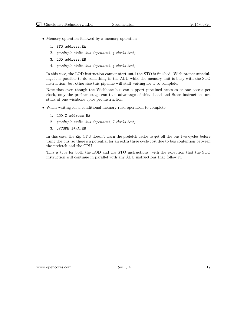- Memory operation followed by a memory operation
	- 1. STO address,RA
	- 2. (multiple stalls, bus dependent, 4 clocks best)
	- 3. LOD address,RB
	- 4. (multiple stalls, bus dependent, 4 clocks best)

In this case, the LOD instruction cannot start until the STO is finished. With proper scheduling, it is possible to do something in the ALU while the memory unit is busy with the STO instruction, but otherwise this pipeline will stall waiting for it to complete.

Note that even though the Wishbone bus can support pipelined accesses at one access per clock, only the prefetch stage can take advantage of this. Load and Store instructions are stuck at one wishbone cycle per instruction.

- When waiting for a conditional memory read operation to complete
	- 1. LOD.Z address,RA
	- 2. (multiple stalls, bus dependent, 7 clocks best)
	- 3. OPCODE I+RA,RB

In this case, the Zip CPU doesn't warn the prefetch cache to get off the bus two cycles before using the bus, so there's a potential for an extra three cycle cost due to bus contention between the prefetch and the CPU.

This is true for both the LOD and the STO instructions, with the exception that the STO instruction will continue in parallel with any ALU instructions that follow it.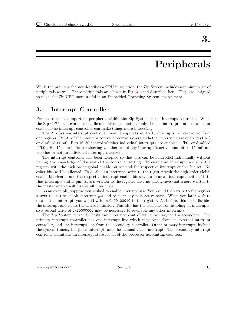### 3.

### Peripherals

<span id="page-24-0"></span>While the previous chapter describes a CPU in isolation, the Zip System includes a minimum set of peripherals as well. These peripherals are shown in Fig. [3.1](#page-25-3) and described here. They are designed to make the Zip CPU more useful in an Embedded Operating System environment.

#### <span id="page-24-1"></span>3.1 Interrupt Controller

Perhaps the most important peripheral within the Zip System is the interrupt controller. While the Zip CPU itself can only handle one interrupt, and has only the one interrupt state: disabled or enabled, the interrupt controller can make things more interesting.

The Zip System interrupt controller module supports up to 15 interrupts, all controlled from one register. Bit 31 of the interrupt controller controls overall whether interrupts are enabled (1'b1) or disabled (1'b0). Bits 16–30 control whether individual interrupts are enabled (1'b0) or disabled (1'b0). Bit 15 is an indicator showing whether or not any interrupt is active, and bits 0–15 indicate whether or not an individual interrupt is active.

The interrupt controller has been designed so that bits can be controlled individually without having any knowledge of the rest of the controller setting. To enable an interrupt, write to the register with the high order global enable bit set and the respective interrupt enable bit set. No other bits will be affected. To disable an interrupt, write to the register with the high order global enable bit cleared and the respective interrupt enable bit set. To clear an interrupt, write a '1' to that interrupts status pin. Zero's written to the register have no affect, save that a zero written to the master enable will disable all interrupts.

As an example, suppose you wished to enable interrupt  $#4$ . You would then write to the register a 0x80100010 to enable interrupt  $#4$  and to clear any past active state. When you later wish to disable this interrupt, you would write a 0x00100010 to the register. As before, this both disables the interrupt and clears the active indicator. This also has the side effect of disabling all interrupts, so a second write of 0x80000000 may be necessary to re-enable any other interrupts.

The Zip System currently hosts two interrupt controllers, a primary and a secondary. The primary interrupt controller has one interrupt line which may come from an external interrupt controller, and one interrupt line from the secondary controller. Other primary interrupts include the system timers, the jiffies interrupt, and the manual cache interrupt. The secondary interrupt controller maintains an interrupt state for all of the processor accounting counters.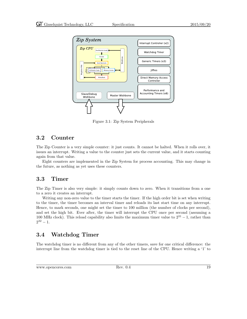

<span id="page-25-3"></span>Figure 3.1: Zip System Peripherals

#### <span id="page-25-0"></span>3.2 Counter

The Zip Counter is a very simple counter: it just counts. It cannot be halted. When it rolls over, it issues an interrupt. Writing a value to the counter just sets the current value, and it starts counting again from that value.

Eight counters are implemented in the Zip System for process accounting. This may change in the future, as nothing as yet uses these counters.

#### <span id="page-25-1"></span>3.3 Timer

The Zip Timer is also very simple: it simply counts down to zero. When it transitions from a one to a zero it creates an interrupt.

Writing any non-zero value to the timer starts the timer. If the high order bit is set when writing to the timer, the timer becomes an interval timer and reloads its last start time on any interrupt. Hence, to mark seconds, one might set the timer to 100 million (the number of clocks per second), and set the high bit. Ever after, the timer will interrupt the CPU once per second (assuming a 100 MHz clock). This reload capability also limits the maximum timer value to  $2^{31} - 1$ , rather than  $2^{32} - 1.$ 

### <span id="page-25-2"></span>3.4 Watchdog Timer

The watchdog timer is no different from any of the other timers, save for one critical difference: the interrupt line from the watchdog timer is tied to the reset line of the CPU. Hence writing a '1' to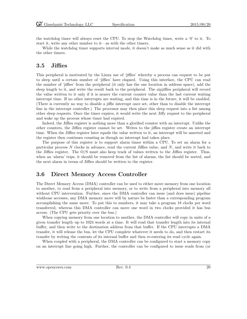the watchdog timer will always reset the CPU. To stop the Watchdog timer, write a '0' to it. To start it, write any other number to it—as with the other timers.

While the watchdog timer supports interval mode, it doesn't make as much sense as it did with the other timers.

#### <span id="page-26-0"></span>3.5 Jiffies

This peripheral is motivated by the Linux use of 'jiffies' whereby a process can request to be put to sleep until a certain number of 'jiffies' have elapsed. Using this interface, the CPU can read the number of 'jiffies' from the peripheral (it only has the one location in address space), add the sleep length to it, and write the result back to the peripheral. The zipjiffies peripheral will record the value written to it only if it is nearer the current counter value than the last current waiting interrupt time. If no other interrupts are waiting, and this time is in the future, it will be enabled. (There is currently no way to disable a jiffie interrupt once set, other than to disable the interrupt line in the interrupt controller.) The processor may then place this sleep request into a list among other sleep requests. Once the timer expires, it would write the next Jiffy request to the peripheral and wake up the process whose timer had expired.

Indeed, the Jiffies register is nothing more than a glorified counter with an interrupt. Unlike the other counters, the Jiffies register cannot be set. Writes to the jiffies register create an interrupt time. When the Jiffies register later equals the value written to it, an interrupt will be asserted and the register then continues counting as though no interrupt had taken place.

The purpose of this register is to support alarm times within a CPU. To set an alarm for a particular process  $N$  clocks in advance, read the current Jiffies value, and  $N$ , and write it back to the Jiffies register. The O/S must also keep track of values written to the Jiffies register. Thus, when an 'alarm' trips, it should be removed from the list of alarms, the list should be sorted, and the next alarm in terms of Jiffies should be written to the register.

#### <span id="page-26-1"></span>3.6 Direct Memory Access Controller

The Direct Memory Access (DMA) controller can be used to either move memory from one location to another, to read from a peripheral into memory, or to write from a peripheral into memory all without CPU intervention. Further, since the DMA controller can issue (and does issue) pipeline wishbone accesses, any DMA memory move will by nature be faster than a corresponding program accomplishing the same move. To put this to numbers, it may take a program 18 clocks per word transferred, whereas this DMA controller can move one word in two clocks–provided it has bus access. (The CPU gets priority over the bus.)

When copying memory from one location to another, the DMA controller will copy in units of a given transfer length–up to 1024 words at a time. It will read that transfer length into its internal buffer, and then write to the destination address from that buffer. If the CPU interrupts a DMA transfer, it will release the bus, let the CPU complete whatever it needs to do, and then restart its transfer by writing the contents of its internal buffer and then re-entering its read cycle again.

When coupled with a peripheral, the DMA controller can be configured to start a memory copy on an interrupt line going high. Further, the controller can be configured to issue reads from (or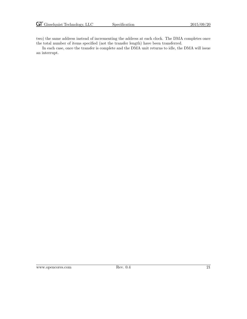two) the same address instead of incrementing the address at each clock. The DMA completes once the total number of items specified (not the transfer length) have been transferred.

In each case, once the transfer is complete and the DMA unit returns to idle, the DMA will issue an interrupt.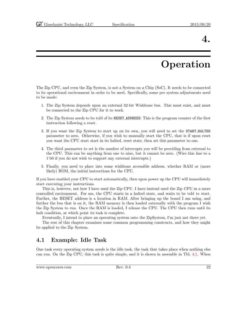### 4.

### Operation

<span id="page-28-0"></span>The Zip CPU, and even the Zip System, is not a System on a Chip (SoC). It needs to be connected to its operational environment in order to be used. Specifically, some per system adjustments need to be made:

- 1. The Zip System depends upon an external 32-bit Wishbone bus. This must exist, and must be connected to the Zip CPU for it to work.
- 2. The Zip System needs to be told of its RESET ADDRESS. This is the program counter of the first instruction following a reset.
- 3. If you want the Zip System to start up on its own, you will need to set the START HALTED parameter to zero. Otherwise, if you wish to manually start the CPU, that is if upon reset you want the CPU start start in its halted, reset state, then set this parameter to one.
- 4. The third parameter to set is the number of interrupts you will be providing from external to the CPU. This can be anything from one to nine, but it cannot be zero. (Wire this line to a 1'b0 if you do not wish to support any external interrupts.)
- 5. Finally, you need to place into some wishbone accessible address, whether RAM or (more likely) ROM, the initial instructions for the CPU.

If you have enabled your CPU to start automatically, then upon power up the CPU will immediately start executing your instructions.

This is, however, not how I have used the Zip CPU. I have instead used the Zip CPU in a more controlled environment. For me, the CPU starts in a halted state, and waits to be told to start. Further, the RESET address is a location in RAM. After bringing up the board I am using, and further the bus that is on it, the RAM memory is then loaded externally with the program I wish the Zip System to run. Once the RAM is loaded, I release the CPU. The CPU then runs until its halt condition, at which point its task is complete.

Eventually, I intend to place an operating system onto the ZipSystem, I'm just not there yet.

The rest of this chapter examines some common programming constructs, and how they might be applied to the Zip System.

#### <span id="page-28-1"></span>4.1 Example: Idle Task

One task every operating system needs is the idle task, the task that takes place when nothing else can run. On the Zip CPU, this task is quite simple, and it is shown in assemble in Tbl. [4.1.](#page-29-1) When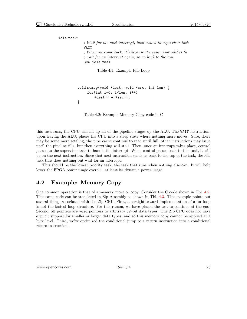```
idle task:
```
; Wait for the next interrupt, then switch to supervisor task WAIT ; When we come back, it's because the supervisor wishes to ; wait for an interrupt again, so go back to the top. BRA idle\_task

<span id="page-29-1"></span>Table 4.1: Example Idle Loop

```
void memcp(void *dest, void *src, int len) {
    for(int i=0; i<len; i++)
        *dest++ = *src++;}
```
<span id="page-29-2"></span>Table 4.2: Example Memory Copy code in C

this task runs, the CPU will fill up all of the pipeline stages up the ALU. The WAIT instruction, upon leaving the ALU, places the CPU into a sleep state where nothing more moves. Sure, there may be some more settling, the pipe cache continue to read until full, other instructions may issue until the pipeline fills, but then everything will stall. Then, once an interrupt takes place, control passes to the supervisor task to handle the interrupt. When control passes back to this task, it will be on the next instruction. Since that next instruction sends us back to the top of the task, the idle task thus does nothing but wait for an interrupt.

This should be the lowest priority task, the task that runs when nothing else can. It will help lower the FPGA power usage overall—at least its dynamic power usage.

#### <span id="page-29-0"></span>4.2 Example: Memory Copy

One common operation is that of a memory move or copy. Consider the C code shown in Tbl. [4.2.](#page-29-2) This same code can be translated in Zip Assembly as shown in Tbl. [4.3.](#page-30-1) This example points out several things associated with the Zip CPU. First, a straightforward implementation of a for loop is not the fastest loop structure. For this reason, we have placed the test to continue at the end. Second, all pointers are void pointers to arbitrary 32–bit data types. The Zip CPU does not have explicit support for smaller or larger data types, and so this memory copy cannot be applied at a byte level. Third, we've optimized the conditional jump to a return instruction into a conditional return instruction.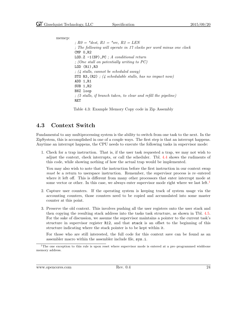memcp: ;  $R0 = *dest$ ,  $R1 = *src$ ,  $R2 = LEN$ ; The following will operate in 17 clocks per word minus one clock CMP 0,R2 LOD.Z  $-1(SP)$ , PC ; A conditional return ; (One stall on potentially writing to PC) LOD (R1),R3 ; (4 stalls, cannot be scheduled away) STO R3,  $(R2)$ ; (4 schedulable stalls, has no impact now) ADD 1,R1 SUB 1,R2 BNZ loop ; (5 stalls, if branch taken, to clear and refill the pipeline) RET

<span id="page-30-1"></span>Table 4.3: Example Memory Copy code in Zip Assembly

#### <span id="page-30-0"></span>4.3 Context Switch

Fundamental to any multiprocessing system is the ability to switch from one task to the next. In the ZipSystem, this is accomplished in one of a couple ways. The first step is that an interrupt happens. Anytime an interrupt happens, the CPU needs to execute the following tasks in supervisor mode:

1. Check for a trap instruction. That is, if the user task requested a trap, we may not wish to adjust the context, check interrupts, or call the scheduler. Tbl. [4.4](#page-31-0) shows the rudiments of this code, while showing nothing of how the actual trap would be implemented.

You may also wish to note that the instruction before the first instruction in our context swap must be a return to userspace instruction. Remember, the supervisor process is re–entered where it left off. This is different from many other processors that enter interrupt mode at some vector or other. In this case, we always enter supervisor mode right where we last left.<sup>[1](#page-30-2)</sup>

- 2. Capture user counters. If the operating system is keeping track of system usage via the accounting counters, those counters need to be copied and accumulated into some master counter at this point.
- 3. Preserve the old context. This involves pushing all the user registers onto the user stack and then copying the resulting stack address into the tasks task structure, as shown in Tbl. [4.5.](#page-31-1) For the sake of discussion, we assume the supervisor maintains a pointer to the current task's structure in supervisor register R12, and that stack is an offset to the beginning of this structure indicating where the stack pointer is to be kept within it.

For those who are still interested, the full code for this context save can be found as an assembler macro within the assembler include file, sys.i.

<span id="page-30-2"></span> $1$ The one exception to this rule is upon reset where supervisor mode is entered at a pre–programmed wishbone memory address.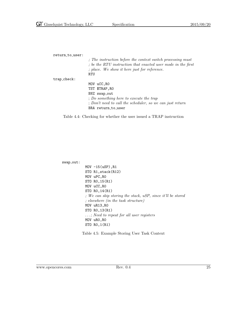return\_to\_user:

trap check:

; The instruction before the context switch processing must ; be the RTU instruction that enacted user mode in the first ; place. We show it here just for reference. RTU MOV uCC,R0 TST \$TRAP,R0 BNZ swap\_out ; Do something here to execute the trap ; Don't need to call the scheduler, so we can just return BRA return\_to\_user

<span id="page-31-0"></span>Table 4.4: Checking for whether the user issued a TRAP instruction

swap\_out:

MOV -15(uSP),R1 STO R1,stack(R12) MOV uPC,R0 STO R0,15(R1) MOV uCC,R0 STO R0,14(R1) ; We can skip storing the stack, uSP, since it'll be stored ; elsewhere (in the task structure) MOV uR13,R0 STO R0,13(R1) . . . ; Need to repeat for all user registers MOV uR0,R0 STO R0,1(R1)

<span id="page-31-1"></span>Table 4.5: Example Storing User Task Context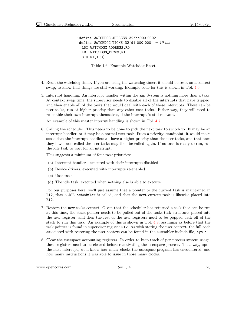'define WATCHDOG\_ADDRESS 32'hc000\_0002 'define WATCHDOG\_TICKS  $32' d1_000_000$  ; = 10 ms LDI WATCHDOG\_ADDRESS, RO LDI WATCHDOG\_TICKS, R1 STO R1,(R0)

<span id="page-32-0"></span>Table 4.6: Example Watchdog Reset

- 4. Reset the watchdog timer. If you are using the watchdog timer, it should be reset on a context swap, to know that things are still working. Example code for this is shown in Tbl. [4.6.](#page-32-0)
- 5. Interrupt handling. An interrupt handler within the Zip System is nothing more than a task. At context swap time, the supervisor needs to disable all of the interrupts that have tripped, and then enable all of the tasks that would deal with each of these interrupts. These can be user tasks, run at higher priority than any other user tasks. Either way, they will need to re–enable their own interrupt themselves, if the interrupt is still relevant.

An example of this master interrut handling is shown in Tbl. [4.7.](#page-33-0)

6. Calling the scheduler. This needs to be done to pick the next task to switch to. It may be an interrupt handler, or it may be a normal user task. From a priority standpoint, it would make sense that the interrupt handlers all have a higher priority than the user tasks, and that once they have been called the user tasks may then be called again. If no task is ready to run, run the idle task to wait for an interrupt.

This suggests a minimum of four task priorities:

- (a) Interrupt handlers, executed with their interrupts disabled
- (b) Device drivers, executed with interrupts re-enabled
- (c) User tasks
- (d) The idle task, executed when nothing else is able to execute

For our purposes here, we'll just assume that a pointer to the current task is maintained in R12, that a JSR scheduler is called, and that the next current task is likewise placed into R12.

- 7. Restore the new tasks context. Given that the scheduler has returned a task that can be run at this time, the stack pointer needs to be pulled out of the tasks task structure, placed into the user register, and then the rest of the user registers need to be popped back off of the stack to run this task. An example of this is shown in Tbl. [4.8,](#page-33-1) assuming as before that the task pointer is found in supervisor register R12. As with storing the user context, the full code associated with restoring the user context can be found in the assembler include file, sys.i.
- 8. Clear the userspace accounting registers. In order to keep track of per process system usage, these registers need to be cleared before reactivating the userspace process. That way, upon the next interrupt, we'll know how many clocks the userspace program has encountered, and how many instructions it was able to issue in those many clocks.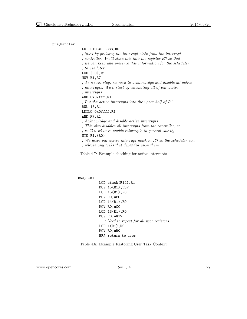pre handler:

```
LDI PIC ADDRESS,R0
; Start by grabbing the interrupt state from the interrupt
; controller. We'll store this into the register R7 so that
; we can keep and preserve this information for the scheduler
; to use later.
LOD (R0),R1
MOV R1,R7
; As a next step, we need to acknowledge and disable all active
; interrupts. We'll start by calculating all of our active
; interrupts.
AND 0x07fff,R1
; Put the active interrupts into the upper half of R1
ROL 16,R1
LDILO 0x0ffff,R1
AND R7,R1
; Acknowledge and disable active interrupts
; This also disables all interrupts from the controller, so
; we'll need to re-enable interrupts in general shortly
STO R1,(R0)
; We leave our active interrupt mask in R7 so the scheduler can
; release any tasks that depended upon them.
```
<span id="page-33-0"></span>Table 4.7: Example checking for active interrupts

```
swap in:
          LOD stack(R12),R1
          MOV 15(R1),uSP
          LOD 15(R1),R0
          MOV R0,uPC
          LOD 14(R1),R0
          MOV R0,uCC
          LOD 13(R1),R0
          MOV R0,uR12
          . . . ; Need to repeat for all user registers
          LOD 1(R1),R0
          MOV R0,uR0
          BRA return_to_user
```
<span id="page-33-1"></span>Table 4.8: Example Restoring User Task Context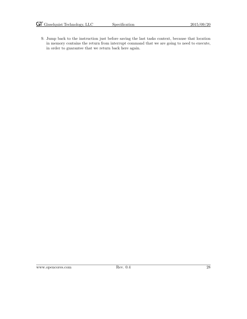9. Jump back to the instruction just before saving the last tasks context, because that location in memory contains the return from interrupt command that we are going to need to execute, in order to guarantee that we return back here again.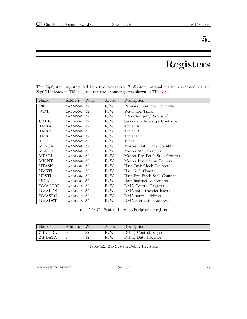### 5.

### Registers

| Name          | Address    | Width | Access | Description                    |
|---------------|------------|-------|--------|--------------------------------|
| PIC           | 0xc0000000 | 32    | R/W    | Primary Interrupt Controller   |
| <b>WDT</b>    | 0xc0000001 | 32    | R/W    | Watchdog Timer                 |
|               | 0xc0000002 | 32    | R/W    | (Reserved for future use)      |
| <b>CTRIC</b>  | 0xc0000003 | 32    | R/W    | Secondary Interrupt Controller |
| <b>TMRA</b>   | 0xc0000004 | 32    | R/W    | Timer A                        |
| TMRB          | 0xc0000005 | 32    | R/W    | Timer B                        |
| <b>TMRC</b>   | 0xc0000006 | 32    | R/W    | Timer C                        |
| JIFF          | 0xc0000007 | 32    | R/W    | Jiffies                        |
| MTASK         | 0xc0000008 | 32    | R/W    | Master Task Clock Counter      |
| MMSTL         | 0xc0000009 | 32    | R/W    | Master Stall Counter           |
| <b>MPSTL</b>  | 0xc000000a | 32    | R/W    | Master Pre-Fetch Stall Counter |
| <b>MICNT</b>  | 0xc000000b | 32    | R/W    | Master Instruction Counter     |
| UTASK         | 0xc000000c | 32    | R/W    | User Task Clock Counter        |
| <b>UMSTL</b>  | 0xc000000d | 32    | R/W    | User Stall Counter             |
| <b>UPSTL</b>  | 0xc000000e | 32    | R/W    | User Pre-Fetch Stall Counter   |
| <b>UICNT</b>  | 0xc000000f | 32    | R/W    | User Instruction Counter       |
| DMACTRL       | 0xc0000010 | 32    | R/W    | DMA Control Register           |
| <b>DMALEN</b> | 0xc0000011 | 32    | R/W    | DMA total transfer length      |
| DMASRC        | 0xc0000012 | 32    | R/W    | DMA source address             |

<span id="page-35-0"></span>The ZipSystem registers fall into two categories, ZipSystem internal registers accessed via the ZipCPU shown in Tbl. [5.1,](#page-35-1) and the two debug registers shown in Tbl. [5.2.](#page-35-2)

<span id="page-35-1"></span>Table 5.1: Zip System Internal/Peripheral Registers

DMADST 0xc0000013 32 R/W DMA destination address

| Name    | Address | Width       | Access | Description            |
|---------|---------|-------------|--------|------------------------|
| ZIPCTRL |         | -29<br>∙J∠  | R/W    | Debug Control Register |
| ZIPDATA |         | - 20<br>∙J∠ | R/W    | Debug Data Register    |

<span id="page-35-2"></span>Table 5.2: Zip System Debug Registers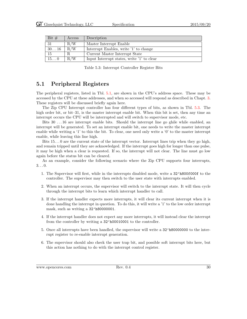| Bit $#$       | Access | Description                                |
|---------------|--------|--------------------------------------------|
| -31           | R/W    | Master Interrupt Enable                    |
| $30\ldots 16$ | R/W    | Interrupt Enables, write '1' to change     |
| 15            |        | Current Master Interrupt State             |
| $15\ldots 0$  | R/W    | Input Interrupt states, write '1' to clear |

<span id="page-36-1"></span>Table 5.3: Interrupt Controller Register Bits

#### <span id="page-36-0"></span>5.1 Peripheral Registers

The peripheral registers, listed in Tbl. [5.1,](#page-35-1) are shown in the CPU's address space. These may be accessed by the CPU at these addresses, and when so accessed will respond as described in Chapt. [3.](#page-24-0) These registers will be discussed briefly again here.

The Zip CPU Interrupt controller has four different types of bits, as shown in Tbl. [5.3.](#page-36-1) The high order bit, or bit–31, is the master interrupt enable bit. When this bit is set, then any time an interrupt occurs the CPU will be interrupted and will switch to supervisor mode, etc.

Bits 30 . . . 16 are interrupt enable bits. Should the interrupt line go ghile while enabled, an interrupt will be generated. To set an interrupt enable bit, one needs to write the master interrupt enable while writing a '1' to this the bit. To clear, one need only write a '0' to the master interrupt enable, while leaving this line high.

Bits  $15...0$  are the current state of the interrupt vector. Interrupt lines trip when they go high, and remain tripped until they are acknowledged. If the interrupt goes high for longer than one pulse, it may be high when a clear is requested. If so, the interrupt will not clear. The line must go low again before the status bit can be cleared.

As an example, consider the following scenario where the Zip CPU supports four interrupts,  $3\ldots 0$ .

- 1. The Supervisor will first, while in the interrupts disabled mode, write a 32'h800f000f to the controller. The supervisor may then switch to the user state with interrupts enabled.
- 2. When an interrupt occurs, the supervisor will switch to the interrupt state. It will then cycle through the interrupt bits to learn which interrupt handler to call.
- 3. If the interrupt handler expects more interrupts, it will clear its current interrupt when it is done handling the interrupt in question. To do this, it will write a '1' to the low order interrupt mask, such as writing a  $32'$ h80000001.
- 4. If the interrupt handler does not expect any more interrupts, it will instead clear the interrupt from the controller by writing a 32'h00010001 to the controller.
- 5. Once all interrupts have been handled, the supervisor will write a 32'h80000000 to the interrupt register to re-enable interrupt generation.
- 6. The supervisor should also check the user trap bit, and possible soft interrupt bits here, but this action has nothing to do with the interrupt control register.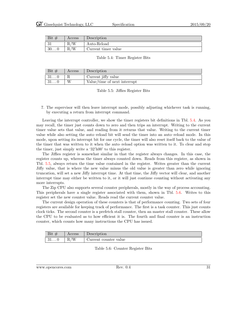| Bit<br># | Access | Description         |
|----------|--------|---------------------|
| IJТ      | W      | Auto-Reload         |
| 300      | 'W     | Current timer value |

#### <span id="page-37-0"></span>Table 5.4: Timer Register Bits

| Bit $#$      | Access | Description                  |
|--------------|--------|------------------------------|
| 310          |        | Current jiffy value          |
| $31\ldots 0$ |        | Value/time of next interrupt |

<span id="page-37-1"></span>Table 5.5: Jiffies Register Bits

7. The supervisor will then leave interrupt mode, possibly adjusting whichever task is running, by executing a return from interrupt command.

Leaving the interrupt controller, we show the timer registers bit definitions in Tbl. [5.4.](#page-37-0) As you may recall, the timer just counts down to zero and then trips an interrupt. Writing to the current timer value sets that value, and reading from it returns that value. Writing to the current timer value while also setting the auto–reload bit will send the timer into an auto–reload mode. In this mode, upon setting its interrupt bit for one cycle, the timer will also reset itself back to the value of the timer that was written to it when the auto–reload option was written to it. To clear and stop the timer, just simply write a '32'h00' to this register.

The Jiffies register is somewhat similar in that the register always changes. In this case, the register counts up, whereas the timer always counted down. Reads from this register, as shown in Tbl. [5.5,](#page-37-1) always return the time value contained in the register. Writes greater than the current Jiffy value, that is where the new value minus the old value is greater than zero while ignoring truncation, will set a new Jiffy interrupt time. At that time, the Jiffy vector will clear, and another interrupt time may either be written to it, or it will just continue counting without activating any more interrupts.

The Zip CPU also supports several counter peripherals, mostly in the way of process accounting. This peripherals have a single register associated with them, shown in Tbl. [5.6.](#page-37-2) Writes to this register set the new counter value. Reads read the current counter value.

The current design operation of these counters is that of performance counting. Two sets of four registers are available for keeping track of performance. The first is a task counter. This just counts clock ticks. The second counter is a prefetch stall counter, then an master stall counter. These allow the CPU to be evaluated as to how efficient it is. The fourth and final counter is an instruction counter, which counts how many instructions the CPU has issued.

| D <sub>10</sub><br>$\cdot$ | Access                                                     | Description                   |
|----------------------------|------------------------------------------------------------|-------------------------------|
| 01. U                      | / <del>.</del><br>$\overline{\phantom{0}}$<br>M<br>$\pm U$ | -<br>counter value<br>Current |

<span id="page-37-2"></span>Table 5.6: Counter Register Bits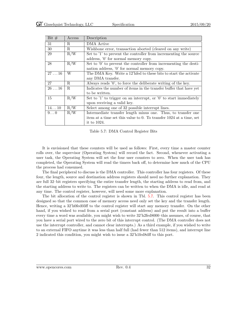| Bit $#$        | Access      | Description                                                         |
|----------------|-------------|---------------------------------------------------------------------|
| 31             | R.          | DMA Active                                                          |
| 30             | R           | Wishbone error, transaction aborted (cleared on any write)          |
| 29             | R/W         | Set to '1' to prevent the controller from incrementing the source   |
|                |             | address, '0' for normal memory copy.                                |
| 28             | R/W         | Set to '0' to prevent the controller from incrementing the desti-   |
|                |             | nation address, '0' for normal memory copy.                         |
| $27 \ldots 16$ | W           | The DMA Key. Write a 12'hfed to these bits to start the activate    |
|                |             | any DMA transfer.                                                   |
| 27             | R.          | Always reads '0', to force the deliberate writing of the key.       |
| $26 \ldots 16$ | $R_{\cdot}$ | Indicates the number of items in the transfer buffer that have yet  |
|                |             | to be written.                                                      |
| 15             | R/W         | Set to '1' to trigger on an interrupt, or '0' to start immediately  |
|                |             | upon receiving a valid key.                                         |
| 1410           | R/W         | Select among one of 32 possible interrupt lines.                    |
| $9\dots 0$     | R/W         | Intermediate transfer length minus one. Thus, to transfer one       |
|                |             | item at a time set this value to 0. To transfer 1024 at a time, set |
|                |             | it to 1024.                                                         |

<span id="page-38-0"></span>Table 5.7: DMA Control Register Bits

It is envisioned that these counters will be used as follows: First, every time a master counter rolls over, the supervisor (Operating System) will record the fact. Second, whenever activating a user task, the Operating System will set the four user counters to zero. When the user task has completed, the Operating System will read the timers back off, to determine how much of the CPU the process had consumed.

The final peripheral to discuss is the DMA controller. This controller has four registers. Of these four, the length, source and destination address registers should need no further explanation. They are full 32–bit registers specifying the entire transfer length, the starting address to read from, and the starting address to write to. The registers can be written to when the DMA is idle, and read at any time. The control register, however, will need some more explanation.

The bit allocation of the control register is shown in Tbl. [5.7.](#page-38-0) This control register has been designed so that the common case of memory access need only set the key and the transfer length. Hence, writing a 32'h0fed03ff to the control register will start any memory transfer. On the other hand, if you wished to read from a serial port (constant address) and put the result into a buffer every time a word was available, you might wish to write  $32$ 'h2fed8000–this assumes, of course, that you have a serial port wired to the zero bit of this interrupt control. (The DMA controller does not use the interrupt controller, and cannot clear interrupts.) As a third example, if you wished to write to an external FIFO anytime it was less than half full (had fewer than 512 items), and interrupt line 2 indicated this condition, you might wish to issue a 32'h1fed8dff to this port.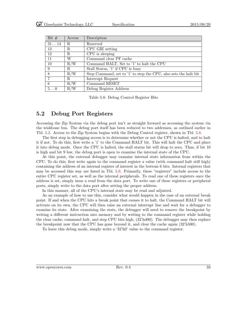| Bit $#$     | Access | Description                                                      |
|-------------|--------|------------------------------------------------------------------|
| 3114        | R.     | Reserved                                                         |
| 13          | R      | CPU GIE setting                                                  |
| 12          | R.     | CPU is sleeping                                                  |
| 11          | W      | Command clear PF cache                                           |
| 10          | R/W    | Command HALT, Set to '1' to halt the CPU                         |
| 9           | R      | Stall Status, '1' if CPU is busy                                 |
| 8           | R/W    | Step Command, set to '1' to step the CPU, also sets the halt bit |
| 7           | R.     | Interrupt Request                                                |
| 6           | R/W    | Command RESET                                                    |
| $5\ldots 0$ | R/W    | Debug Register Address                                           |

<span id="page-39-1"></span>Table 5.8: Debug Control Register Bits

#### <span id="page-39-0"></span>5.2 Debug Port Registers

Accessing the Zip System via the debug port isn't as straight forward as accessing the system via the wishbone bus. The debug port itself has been reduced to two addresses, as outlined earlier in Tbl. [5.2.](#page-35-2) Access to the Zip System begins with the Debug Control register, shown in Tbl. [5.8.](#page-39-1)

The first step in debugging access is to determine whether or not the CPU is halted, and to halt it if not. To do this, first write a '1' to the Command HALT bit. This will halt the CPU and place it into debug mode. Once the CPU is halted, the stall status bit will drop to zero. Thus, if bit 10 is high and bit 9 low, the debug port is open to examine the internal state of the CPU.

At this point, the external debugger may examine internal state information from within the CPU. To do this, first write again to the command register a value (with command halt still high) containing the address of an internal register of interest in the bottom 6 bits. Internal registers that may be accessed this way are listed in Tbl. [5.9.](#page-40-0) Primarily, these "registers" include access to the entire CPU register set, as well as the internal peripherals. To read one of these registers once the address is set, simply issue a read from the data port. To write one of these registers or peripheral ports, simply write to the data port after setting the proper address.

In this manner, all of the CPU's internal state may be read and adjusted.

As an example of how to use this, consider what would happen in the case of an external break point. If and when the CPU hits a break point that causes it to halt, the Command HALT bit will activate on its own, the CPU will then raise an external interrupt line and wait for a debugger to examine its state. After examining the state, the debugger will need to remove the breakpoint by writing a different instruction into memory and by writing to the command register while holding the clear cache, command halt, and step CPU bits high, (32'hd00). The debugger may then replace the breakpoint now that the CPU has gone beyond it, and clear the cache again (32'h500).

To leave this debug mode, simply write a '32'h0' value to the command register.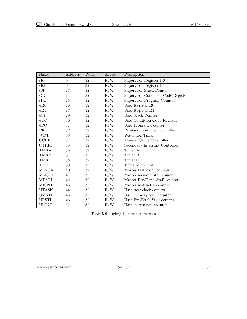| Name                      | Address         | Width           | Access           | Description                        |
|---------------------------|-----------------|-----------------|------------------|------------------------------------|
| sR0                       | $\theta$        | 32              | R/W              | Supervisor Register R0             |
| sR1                       | $\overline{0}$  | $\overline{32}$ | R/W              | Supervisor Register R1             |
| $\overline{\text{sSP}}$   | 13              | $\overline{32}$ | $R/\overline{W}$ | <b>Supervisor Stack Pointer</b>    |
| $\overline{\mathrm{sCC}}$ | $\overline{14}$ | $\overline{32}$ | R/W              | Supervisor Condition Code Register |
| $\overline{\text{sPC}}$   | $\overline{15}$ | $\overline{32}$ | R/W              | Supervisor Program Counter         |
| uR0                       | $\overline{16}$ | $\overline{32}$ | $R/\overline{W}$ | User Register R0                   |
| uR1                       | 17              | $\overline{32}$ | R/W              | User Register R1                   |
| uSP                       | 29              | 32              | R/W              | User Stack Pointer                 |
| $\overline{uCC}$          | $\overline{30}$ | $\overline{32}$ | R/W              | User Condition Code Register       |
| uPC                       | $\overline{31}$ | $\overline{32}$ | R/W              | User Program Counter               |
| $\overline{\text{PIC}}$   | $\overline{32}$ | 32              | R/W              | Primary Interrupt Controller       |
| <b>WDT</b>                | $\overline{33}$ | $\overline{32}$ | $R/\overline{W}$ | Watchdog Timer                     |
| CCHE                      | 34              | $\overline{32}$ | R/W              | Manual Cache Controller            |
| <b>CTRIC</b>              | $\overline{35}$ | $\overline{32}$ | $R/\overline{W}$ | Secondary Interrupt Controller     |
| <b>TMRA</b>               | $\overline{36}$ | $\overline{32}$ | R/W              | Timer A                            |
| <b>TMRB</b>               | $\overline{37}$ | 32              | R/W              | Timer B                            |
| TMRC                      | $\overline{38}$ | $\overline{32}$ | R/W              | Timer <sub>C</sub>                 |
| <b>JIFF</b>               | $\overline{39}$ | $\overline{32}$ | R/W              | Jiffies peripheral                 |
| <b>MTASK</b>              | 40              | $\overline{32}$ | R/W              | Master task clock counter          |
| <b>MMSTL</b>              | $\overline{41}$ | $\overline{32}$ | R/W              | Master memory stall counter        |
| <b>MPSTL</b>              | $\overline{42}$ | $\overline{32}$ | R/W              | Master Pre-Fetch Stall counter     |
| <b>MICNT</b>              | $\overline{43}$ | $\overline{32}$ | R/W              | Master instruction counter         |
| <b>UTASK</b>              | 44              | $\overline{32}$ | R/W              | User task clock counter            |
| <b>UMSTL</b>              | 45              | $\overline{32}$ | R/W              | User memory stall counter          |
| <b>UPSTL</b>              | 46              | 32              | R/W              | User Pre-Fetch Stall counter       |
| <b>UICNT</b>              | 47              | 32              | R/W              | User instruction counter           |

<span id="page-40-0"></span>Table 5.9: Debug Register Addresses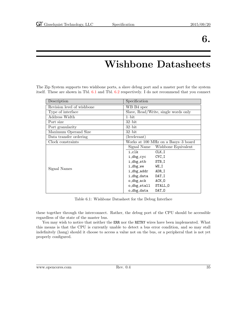### 6.

### Wishbone Datasheets

<span id="page-41-0"></span>The Zip System supports two wishbone ports, a slave debug port and a master port for the system itself. These are shown in Tbl. [6.1](#page-41-1) and Tbl. [6.2](#page-42-0) respectively. I do not recommend that you connect

| Description                | Specification                        |  |  |
|----------------------------|--------------------------------------|--|--|
| Revision level of wishbone | WB B4 spec                           |  |  |
| Type of interface          | Slave, Read/Write, single words only |  |  |
| Address Width              | $1$ -bit                             |  |  |
| Port size                  | $32$ -bit                            |  |  |
| Port granularity           | $32$ -bit                            |  |  |
| Maximum Operand Size       | $32$ -bit                            |  |  |
| Data transfer ordering     | (Irrelevant)                         |  |  |
| Clock constraints          | Works at 100 MHz on a Basys-3 board  |  |  |
|                            | Signal Name<br>Wishbone Equivalent   |  |  |
|                            | i_clk<br>$CLK_I$                     |  |  |
|                            | CYC_I<br>i_dbg_cyc                   |  |  |
|                            | i_dbg_stb<br>STB_I                   |  |  |
| Signal Names               | i_dbg_we<br>WE_I                     |  |  |
|                            | i_dbg_addr<br>ADR_I                  |  |  |
|                            | i_dbg_data<br>DAT_I                  |  |  |
|                            | o_dbg_ack<br>ACK_0                   |  |  |
|                            | STALL_0<br>o_dbg_stall               |  |  |
|                            | o_dbg_data<br>DAT <sub>-0</sub>      |  |  |

<span id="page-41-1"></span>Table 6.1: Wishbone Datasheet for the Debug Interface

these together through the interconnect. Rather, the debug port of the CPU should be accessible regardless of the state of the master bus.

You may wish to notice that neither the ERR nor the RETRY wires have been implemented. What this means is that the CPU is currently unable to detect a bus error condition, and so may stall indefinitely (hang) should it choose to access a value not on the bus, or a peripheral that is not yet properly configured.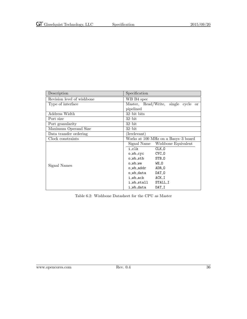| Description                | Specification                                 |
|----------------------------|-----------------------------------------------|
| Revision level of wishbone | WB B4 spec                                    |
| Type of interface          | Master, Read/Write, single cycle<br><b>or</b> |
|                            | pipelined                                     |
| Address Width              | $32$ -bit bits                                |
| Port size                  | $32$ -bit                                     |
| Port granularity           | $32$ -bit                                     |
| Maximum Operand Size       | $32$ -bit                                     |
| Data transfer ordering     | (Irrelevant)                                  |
| Clock constraints          | Works at 100 MHz on a Basys-3 board           |
|                            | Signal Name Wishbone Equivalent               |
|                            | i_clk<br>CLK 0                                |
|                            | CYC_0<br>o_wb_cyc                             |
|                            | o_wb_stb<br>STB_0                             |
| Signal Names               | WE_O<br>o_wb_we                               |
|                            | ADR_0<br>o_wb_addr                            |
|                            | o_wb_data<br>DAT_0                            |
|                            | i_wb_ack<br>$ACK_I$                           |
|                            | i_wb_stall<br>STALL I                         |
|                            | i_wb_data<br>DAT_I                            |

<span id="page-42-0"></span>Table 6.2: Wishbone Datasheet for the CPU as Master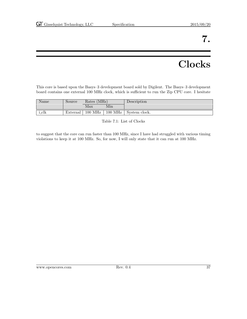### 7.

### **Clocks**

<span id="page-43-0"></span>This core is based upon the Basys–3 development board sold by Digilent. The Basys–3 development board contains one external 100 MHz clock, which is sufficient to run the Zip CPU core. I hesitate

| Name  | Source   | Rates (MHz) |                     | Description   |
|-------|----------|-------------|---------------------|---------------|
|       |          | Max         | Min                 |               |
| i_clk | External | $100$ MHz   | $100\;\mathrm{MHz}$ | System clock. |

<span id="page-43-1"></span>Table 7.1: List of Clocks

to suggest that the core can run faster than 100 MHz, since I have had struggled with various timing violations to keep it at 100 MHz. So, for now, I will only state that it can run at 100 MHz.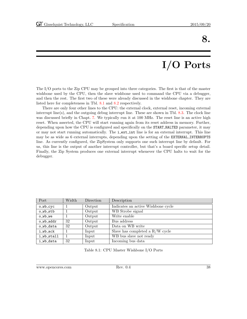### 8.

# I/O Ports

<span id="page-44-0"></span>The I/O ports to the Zip CPU may be grouped into three categories. The first is that of the master wishbone used by the CPU, then the slave wishbone used to command the CPU via a debugger, and then the rest. The first two of these were already discussed in the wishbone chapter. They are listed here for completeness in Tbl. [8.1](#page-44-1) and [8.2](#page-45-0) respectively.

There are only four other lines to the CPU: the external clock, external reset, incoming external interrupt line(s), and the outgoing debug interrupt line. These are shown in Tbl. [8.3.](#page-45-1) The clock line was discussed briefly in Chapt. [7.](#page-43-0) We typically run it at 100 MHz. The reset line is an active high reset. When asserted, the CPU will start running again from its reset address in memory. Further, depending upon how the CPU is configured and specifically on the START HALTED parameter, it may or may not start running automatically. The **i\_ext\_int** line is for an external interrupt. This line may be as wide as 6 external interrupts, depending upon the setting of the EXTERNAL INTERRUPTS line. As currently configured, the ZipSystem only supports one such interrupt line by default. For us, this line is the output of another interrupt controller, but that's a board specific setup detail. Finally, the Zip System produces one external interrupt whenever the CPU halts to wait for the debugger.

| Port       | Width | Direction | Description                                |
|------------|-------|-----------|--------------------------------------------|
| o_wb_cyc   | 1     | Output    | Indicates an active Wishbone cycle         |
| o_wb_stb   |       | Output    | WB Strobe signal                           |
| o wb we    |       | Output    | Write enable                               |
| o wb addr  | 32    | Output    | Bus address                                |
| o wb data  | 32    | Output    | Data on WB write                           |
| i wb ack   |       | Input     | Slave has completed a $R/W$ cycle          |
| i_wb_stall |       | Input     | $\overline{\text{WB}}$ bus slave not ready |
| i wb data  | 32    | Input     | Incoming bus data                          |

<span id="page-44-1"></span>Table 8.1: CPU Master Wishbone I/O Ports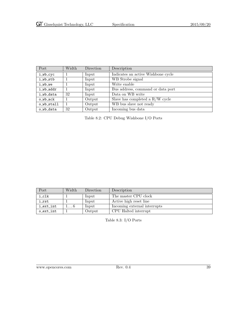| Port       | Width | Direction | Description                        |  |
|------------|-------|-----------|------------------------------------|--|
| i_wb_cyc   |       | Input     | Indicates an active Wishbone cycle |  |
| i_wb_stb   |       | Input     | WB Strobe signal                   |  |
| i_wb_we    |       | Input     | Write enable                       |  |
| i_wb_addr  |       | Input     | Bus address, command or data port  |  |
| i_wb_data  | 32    | Input     | Data on WB write                   |  |
| o_wb_ack   |       | Output    | Slave has completed a $R/W$ cycle  |  |
| o_wb_stall |       | Output    | WB bus slave not ready             |  |
| o_wb_data  | 32    | Output    | Incoming bus data                  |  |

<span id="page-45-0"></span>Table 8.2: CPU Debug Wishbone I/O Ports

| Port      | Width | Direction | Description                  |
|-----------|-------|-----------|------------------------------|
| i_clk     |       | Input     | The master CPU clock         |
| irst      |       | Input     | Active high reset line       |
| i_ext_int |       | Input     | Incoming external interrupts |
| o_ext_int |       | Output    | CPU Halted interrupt         |

<span id="page-45-1"></span>Table 8.3: I/O Ports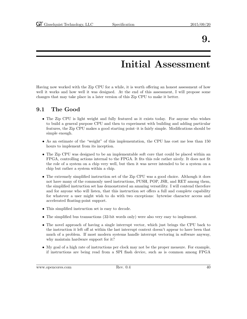### 9.

### Initial Assessment

<span id="page-46-0"></span>Having now worked with the Zip CPU for a while, it is worth offering an honest assessment of how well it works and how well it was designed. At the end of this assessment, I will propose some changes that may take place in a later version of this Zip CPU to make it better.

### <span id="page-46-1"></span>9.1 The Good

- The Zip CPU is light weight and fully featured as it exists today. For anyone who wishes to build a general purpose CPU and then to experiment with building and adding particular features, the Zip CPU makes a good starting point–it is fairly simple. Modifications should be simple enough.
- As an estimate of the "weight" of this implementation, the CPU has cost me less than 150 hours to implement from its inception.
- The Zip CPU was designed to be an implementable soft core that could be placed within an FPGA, controlling actions internal to the FPGA. It fits this role rather nicely. It does not fit the role of a system on a chip very well, but then it was never intended to be a system on a chip but rather a system within a chip.
- The extremely simplified instruction set of the Zip CPU was a good choice. Although it does not have many of the commonly used instructions, PUSH, POP, JSR, and RET among them, the simplified instruction set has demonstrated an amazing versatility. I will contend therefore and for anyone who will listen, that this instruction set offers a full and complete capability for whatever a user might wish to do with two exceptions: bytewise character access and accelerated floating-point support.
- This simplified instruction set is easy to decode.
- The simplified bus transactions (32-bit words only) were also very easy to implement.
- The novel approach of having a single interrupt vector, which just brings the CPU back to the instruction it left off at within the last interrupt context doesn't appear to have been that much of a problem. If most modern systems handle interrupt vectoring in software anyway, why maintain hardware support for it?
- My goal of a high rate of instructions per clock may not be the proper measure. For example, if instructions are being read from a SPI flash device, such as is common among FPGA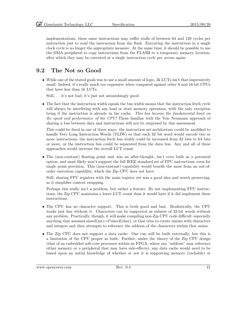implementations, these same instructions may suffer stalls of between 64 and 128 cycles per instruction just to read the instruction from the flash. Executing the instruction in a single clock cycle is no longer the appropriate measure. At the same time, it should be possible to use the DMA peripheral to copy instructions from the FLASH to a temporary memory location, after which they may be executed at a single instruction cycle per access again.

#### <span id="page-47-0"></span>9.2 The Not so Good

• While one of the stated goals was to use a small amount of logic,  $3k$  LUTs isn't that impressively small. Indeed, it's really much too expensive when compared against other 8 and 16-bit CPUs that have less than 1k LUTs.

Still, . . . it's not bad, it's just not astonishingly good.

• The fact that the instruction width equals the bus width means that the instruction fetch cycle will always be interfering with any load or store memory operation, with the only exception being if the instruction is already in the cache. This has become the fundamental limit on the speed and performance of the CPU! Those familiar with the Von–Neumann approach of sharing a bus between data and instructions will not be surprised by this assessment.

This could be fixed in one of three ways: the instruction set architecture could be modified to handle Very Long Instruction Words (VLIW) so that each 32–bit word would encode two or more instructions, the instruction fetch bus width could be increased from 32–bits to 64–bits or more, or the instruction bus could be separated from the data bus. Any and all of these approaches would increase the overall LUT count.

• The (non-existant) floating point unit was an after-thought, isn't even built as a potential option, and most likely won't support the full IEEE standard set of FPU instructions–even for single point precision. This (non-existant) capability would benefit the most from an out-oforder execution capability, which the Zip CPU does not have.

Still, sharing FPU registers with the main register set was a good idea and worth preserving, as it simplifies context swapping.

Perhaps this really isn't a problem, but rather a feature. By not implementing FPU instructions, the Zip CPU maintains a lower LUT count than it would have if it did implement these instructions.

- The CPU has no character support. This is both good and bad. Realistically, the CPU works just fine without it. Characters can be supported as subsets of 32-bit words without any problem. Practically, though, it will make compiling non-Zip CPU code difficult–especially anything that assumes size of  $(int) = 4*size$  of  $(char)$ , or that tries to create unions with characters and integers and then attempts to reference the address of the characters within that union.
- The Zip CPU does not support a data cache. One can still be built externally, but this is a limitation of the CPU proper as built. Further, under the theory of the Zip CPU design (that of an embedded soft-core processor within an FPGA, where any "address" may reference either memory or a peripheral that may have side-effects), any data cache would need to be based upon an initial knowledge of whether or not it is supporting memory (cachable) or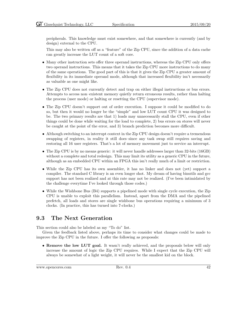peripherals. This knowledge must exist somewhere, and that somewhere is currently (and by design) external to the CPU.

This may also be written off as a "feature" of the Zip CPU, since the addition of a data cache can greatly increase the LUT count of a soft core.

- Many other instruction sets offer three operand instructions, whereas the Zip CPU only offers two operand instructions. This means that it takes the Zip CPU more instructions to do many of the same operations. The good part of this is that it gives the Zip CPU a greater amount of flexibility in its immediate operand mode, although that increased flexibility isn't necessarily as valuable as one might like.
- The Zip CPU does not currently detect and trap on either illegal instructions or bus errors. Attempts to access non–existent memory quietly return erroneous results, rather than halting the process (user mode) or halting or resetting the CPU (supervisor mode).
- The Zip CPU doesn't support out of order execution. I suppose it could be modified to do so, but then it would no longer be the "simple" and low LUT count CPU it was designed to be. The two primary results are that 1) loads may unnecessarily stall the CPU, even if other things could be done while waiting for the load to complete, 2) bus errors on stores will never be caught at the point of the error, and 3) branch prediction becomes more difficult.
- Although switching to an interrupt context in the Zip CPU design doesn't require a tremendous swapping of registers, in reality it still does–since any task swap still requires saving and restoring all 16 user registers. That's a lot of memory movement just to service an interrupt.
- The Zip CPU is by no means generic: it will never handle addresses larger than 32-bits (16GB) without a complete and total redesign. This may limit its utility as a generic CPU in the future, although as an embedded CPU within an FPGA this isn't really much of a limit or restriction.
- While the Zip CPU has its own assembler, it has no linker and does not (yet) support a compiler. The standard C library is an even longer shot. My dream of having binutils and gcc support has not been realized and at this rate may not be realized. (I've been intimidated by the challenge everytime I've looked through those codes.)
- While the Wishbone Bus (B4) supports a pipelined mode with single cycle execution, the Zip CPU is unable to exploit this parallelism. Instead, apart from the DMA and the pipelined prefetch, all loads and stores are single wishbone bus operations requiring a minimum of 3 clocks. (In practice, this has turned into 7-clocks.)

#### <span id="page-48-0"></span>9.3 The Next Generation

This section could also be labeled as my "To do" list.

Given the feedback listed above, perhaps its time to consider what changes could be made to improve the Zip CPU in the future. I offer the following as proposals:

• Remove the low LUT goal. It wasn't really achieved, and the proposals below will only increase the amount of logic the Zip CPU requires. While I expect that the Zip CPU will always be somewhat of a light weight, it will never be the smallest kid on the block.